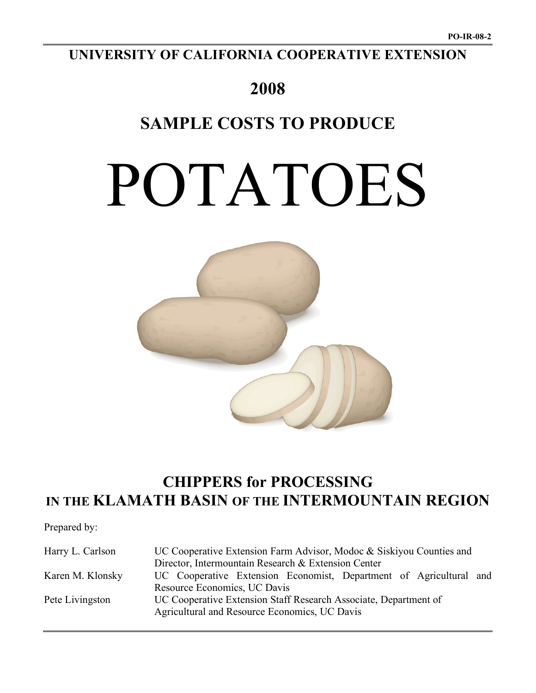# **UNIVERSITY OF CALIFORNIA COOPERATIVE EXTENSION**

# **2008**

# **SAMPLE COSTS TO PRODUCE**

# POTATOES



# **CHIPPERS for PROCESSING IN THE KLAMATH BASIN OF THE INTERMOUNTAIN REGION**

Prepared by:

| Harry L. Carlson                                                                    | UC Cooperative Extension Farm Advisor, Modoc & Siskiyou Counties and |  |  |  |  |  |  |  |
|-------------------------------------------------------------------------------------|----------------------------------------------------------------------|--|--|--|--|--|--|--|
|                                                                                     | Director, Intermountain Research & Extension Center                  |  |  |  |  |  |  |  |
| Karen M. Klonsky                                                                    | UC Cooperative Extension Economist, Department of Agricultural and   |  |  |  |  |  |  |  |
|                                                                                     | Resource Economics, UC Davis                                         |  |  |  |  |  |  |  |
| UC Cooperative Extension Staff Research Associate, Department of<br>Pete Livingston |                                                                      |  |  |  |  |  |  |  |
|                                                                                     | Agricultural and Resource Economics, UC Davis                        |  |  |  |  |  |  |  |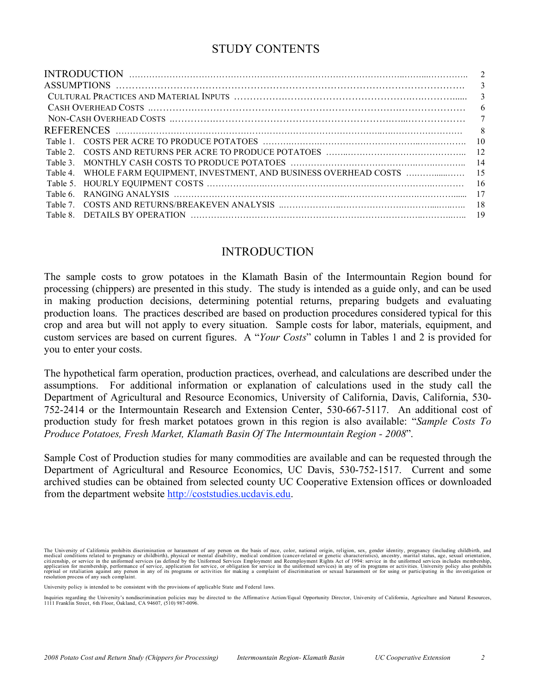# STUDY CONTENTS

|          | $\mathfrak{D}$                                                             |
|----------|----------------------------------------------------------------------------|
|          | 3                                                                          |
|          | 3                                                                          |
|          | 6                                                                          |
|          | 7                                                                          |
|          |                                                                            |
| Table 1  | -10                                                                        |
| Table 2  |                                                                            |
| Table 3  | 14                                                                         |
|          | Table 4. WHOLE FARM EQUIPMENT, INVESTMENT, AND BUSINESS OVERHEAD COSTS  15 |
| Table 5. | -16                                                                        |
| Table 6  | -17                                                                        |
| Table 7  |                                                                            |
| Table 8  |                                                                            |

# INTRODUCTION

The sample costs to grow potatoes in the Klamath Basin of the Intermountain Region bound for processing (chippers) are presented in this study. The study is intended as a guide only, and can be used in making production decisions, determining potential returns, preparing budgets and evaluating production loans. The practices described are based on production procedures considered typical for this crop and area but will not apply to every situation. Sample costs for labor, materials, equipment, and custom services are based on current figures. A "*Your Costs*" column in Tables 1 and 2 is provided for you to enter your costs.

The hypothetical farm operation, production practices, overhead, and calculations are described under the assumptions. For additional information or explanation of calculations used in the study call the Department of Agricultural and Resource Economics, University of California, Davis, California, 530- 752-2414 or the Intermountain Research and Extension Center, 530-667-5117. An additional cost of production study for fresh market potatoes grown in this region is also available: "*Sample Costs To Produce Potatoes, Fresh Market, Klamath Basin Of The Intermountain Region - 2008*".

Sample Cost of Production studies for many commodities are available and can be requested through the Department of Agricultural and Resource Economics, UC Davis, 530-752-1517. Current and some archived studies can be obtained from selected county UC Cooperative Extension offices or downloaded from the department website http://coststudies.ucdavis.edu.

The University of California prohibits discrimination or harassment of any person on the basis of race, color, national origin, religion, sex, gender identity, pregnancy (including childbirth, and the basis of reductions r application for membership, performance of service, application for service, or obligation for service in the uniformed services) in any of its programs or activities. University policy also prohibits<br>reprisal or retaliati

University policy is intended to be consistent with the provisions of applicable State and Federal laws.

Inquiries regarding the University's nondiscrimination policies may be directed to the Affirmative Action/Equal Opportunity Director, University of California, Agriculture and Natural Resources<br>1111 Franklin Street, 6th Fl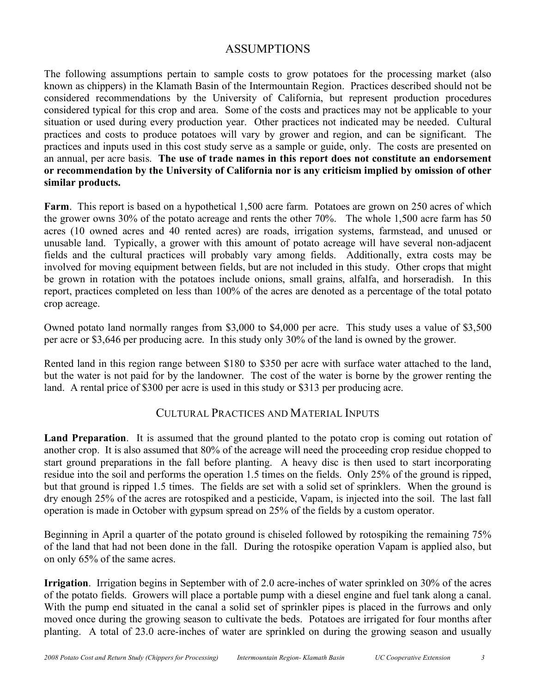# ASSUMPTIONS

The following assumptions pertain to sample costs to grow potatoes for the processing market (also known as chippers) in the Klamath Basin of the Intermountain Region. Practices described should not be considered recommendations by the University of California, but represent production procedures considered typical for this crop and area. Some of the costs and practices may not be applicable to your situation or used during every production year. Other practices not indicated may be needed. Cultural practices and costs to produce potatoes will vary by grower and region, and can be significant. The practices and inputs used in this cost study serve as a sample or guide, only. The costs are presented on an annual, per acre basis. **The use of trade names in this report does not constitute an endorsement or recommendation by the University of California nor is any criticism implied by omission of other similar products.**

**Farm**. This report is based on a hypothetical 1,500 acre farm. Potatoes are grown on 250 acres of which the grower owns 30% of the potato acreage and rents the other 70%. The whole 1,500 acre farm has 50 acres (10 owned acres and 40 rented acres) are roads, irrigation systems, farmstead, and unused or unusable land. Typically, a grower with this amount of potato acreage will have several non-adjacent fields and the cultural practices will probably vary among fields. Additionally, extra costs may be involved for moving equipment between fields, but are not included in this study. Other crops that might be grown in rotation with the potatoes include onions, small grains, alfalfa, and horseradish. In this report, practices completed on less than 100% of the acres are denoted as a percentage of the total potato crop acreage.

Owned potato land normally ranges from \$3,000 to \$4,000 per acre. This study uses a value of \$3,500 per acre or \$3,646 per producing acre. In this study only 30% of the land is owned by the grower.

Rented land in this region range between \$180 to \$350 per acre with surface water attached to the land, but the water is not paid for by the landowner. The cost of the water is borne by the grower renting the land. A rental price of \$300 per acre is used in this study or \$313 per producing acre.

# CULTURAL PRACTICES AND MATERIAL INPUTS

**Land Preparation**. It is assumed that the ground planted to the potato crop is coming out rotation of another crop. It is also assumed that 80% of the acreage will need the proceeding crop residue chopped to start ground preparations in the fall before planting. A heavy disc is then used to start incorporating residue into the soil and performs the operation 1.5 times on the fields. Only 25% of the ground is ripped, but that ground is ripped 1.5 times. The fields are set with a solid set of sprinklers. When the ground is dry enough 25% of the acres are rotospiked and a pesticide, Vapam, is injected into the soil. The last fall operation is made in October with gypsum spread on 25% of the fields by a custom operator.

Beginning in April a quarter of the potato ground is chiseled followed by rotospiking the remaining 75% of the land that had not been done in the fall. During the rotospike operation Vapam is applied also, but on only 65% of the same acres.

**Irrigation**. Irrigation begins in September with of 2.0 acre-inches of water sprinkled on 30% of the acres of the potato fields. Growers will place a portable pump with a diesel engine and fuel tank along a canal. With the pump end situated in the canal a solid set of sprinkler pipes is placed in the furrows and only moved once during the growing season to cultivate the beds. Potatoes are irrigated for four months after planting. A total of 23.0 acre-inches of water are sprinkled on during the growing season and usually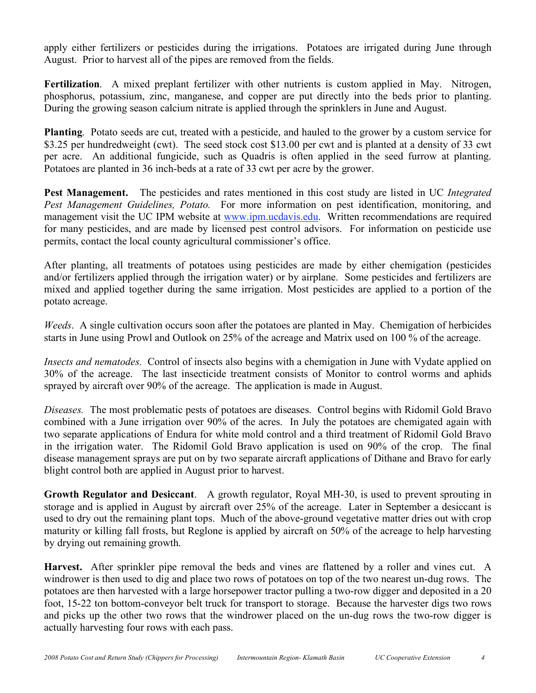apply either fertilizers or pesticides during the irrigations. Potatoes are irrigated during June through August. Prior to harvest all of the pipes are removed from the fields.

**Fertilization**. A mixed preplant fertilizer with other nutrients is custom applied in May. Nitrogen, phosphorus, potassium, zinc, manganese, and copper are put directly into the beds prior to planting. During the growing season calcium nitrate is applied through the sprinklers in June and August.

**Planting**. Potato seeds are cut, treated with a pesticide, and hauled to the grower by a custom service for \$3.25 per hundredweight (cwt). The seed stock cost \$13.00 per cwt and is planted at a density of 33 cwt per acre. An additional fungicide, such as Quadris is often applied in the seed furrow at planting. Potatoes are planted in 36 inch-beds at a rate of 33 cwt per acre by the grower.

**Pest Management.** The pesticides and rates mentioned in this cost study are listed in UC *Integrated Pest Management Guidelines, Potato.* For more information on pest identification, monitoring, and management visit the UC IPM website at www.ipm.ucdavis.edu. Written recommendations are required for many pesticides, and are made by licensed pest control advisors. For information on pesticide use permits, contact the local county agricultural commissioner's office.

After planting, all treatments of potatoes using pesticides are made by either chemigation (pesticides and/or fertilizers applied through the irrigation water) or by airplane. Some pesticides and fertilizers are mixed and applied together during the same irrigation. Most pesticides are applied to a portion of the potato acreage.

*Weeds*. A single cultivation occurs soon after the potatoes are planted in May. Chemigation of herbicides starts in June using Prowl and Outlook on 25% of the acreage and Matrix used on 100 % of the acreage.

*Insects and nematodes.* Control of insects also begins with a chemigation in June with Vydate applied on 30% of the acreage. The last insecticide treatment consists of Monitor to control worms and aphids sprayed by aircraft over 90% of the acreage. The application is made in August.

*Diseases.* The most problematic pests of potatoes are diseases. Control begins with Ridomil Gold Bravo combined with a June irrigation over 90% of the acres. In July the potatoes are chemigated again with two separate applications of Endura for white mold control and a third treatment of Ridomil Gold Bravo in the irrigation water. The Ridomil Gold Bravo application is used on 90% of the crop. The final disease management sprays are put on by two separate aircraft applications of Dithane and Bravo for early blight control both are applied in August prior to harvest.

**Growth Regulator and Desiccant**. A growth regulator, Royal MH-30, is used to prevent sprouting in storage and is applied in August by aircraft over 25% of the acreage. Later in September a desiccant is used to dry out the remaining plant tops. Much of the above-ground vegetative matter dries out with crop maturity or killing fall frosts, but Reglone is applied by aircraft on 50% of the acreage to help harvesting by drying out remaining growth.

**Harvest.** After sprinkler pipe removal the beds and vines are flattened by a roller and vines cut. A windrower is then used to dig and place two rows of potatoes on top of the two nearest un-dug rows. The potatoes are then harvested with a large horsepower tractor pulling a two-row digger and deposited in a 20 foot, 15-22 ton bottom-conveyor belt truck for transport to storage. Because the harvester digs two rows and picks up the other two rows that the windrower placed on the un-dug rows the two-row digger is actually harvesting four rows with each pass.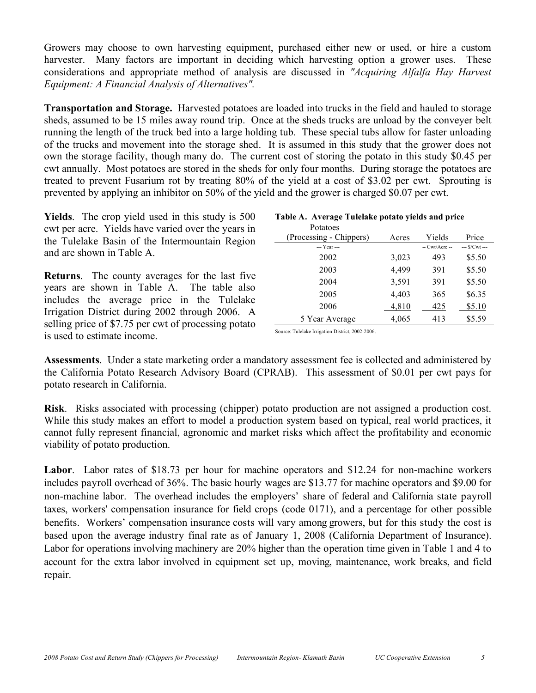Growers may choose to own harvesting equipment, purchased either new or used, or hire a custom harvester. Many factors are important in deciding which harvesting option a grower uses. These considerations and appropriate method of analysis are discussed in *"Acquiring Alfalfa Hay Harvest Equipment: A Financial Analysis of Alternatives".*

**Transportation and Storage.** Harvested potatoes are loaded into trucks in the field and hauled to storage sheds, assumed to be 15 miles away round trip. Once at the sheds trucks are unload by the conveyer belt running the length of the truck bed into a large holding tub. These special tubs allow for faster unloading of the trucks and movement into the storage shed. It is assumed in this study that the grower does not own the storage facility, though many do. The current cost of storing the potato in this study \$0.45 per cwt annually. Most potatoes are stored in the sheds for only four months. During storage the potatoes are treated to prevent Fusarium rot by treating 80% of the yield at a cost of \$3.02 per cwt. Sprouting is prevented by applying an inhibitor on 50% of the yield and the grower is charged \$0.07 per cwt.

**Yields**. The crop yield used in this study is 500 cwt per acre. Yields have varied over the years in the Tulelake Basin of the Intermountain Region and are shown in Table A.

**Returns**. The county averages for the last five years are shown in Table A. The table also includes the average price in the Tulelake Irrigation District during 2002 through 2006. A selling price of \$7.75 per cwt of processing potato is used to estimate income.

### **Table A. Average Tulelake potato yields and price**

| Potatoes $-$            |       |                |                |
|-------------------------|-------|----------------|----------------|
| (Processing - Chippers) | Acres | Yields         | Price          |
| --- Year ---            |       | $-Cwt/Arcre -$ | $-$ \$/Cwt $-$ |
| 2002                    | 3,023 | 493            | \$5.50         |
| 2003                    | 4,499 | 391            | \$5.50         |
| 2004                    | 3,591 | 391            | \$5.50         |
| 2005                    | 4,403 | 365            | \$6.35         |
| 2006                    | 4,810 | 425            | \$5.10         |
| 5 Year Average          | 4,065 | 413            | \$5.59         |

Source: Tulelake Irrigation District, 2002-2006.

**Assessments**. Under a state marketing order a mandatory assessment fee is collected and administered by the California Potato Research Advisory Board (CPRAB). This assessment of \$0.01 per cwt pays for potato research in California.

**Risk**. Risks associated with processing (chipper) potato production are not assigned a production cost. While this study makes an effort to model a production system based on typical, real world practices, it cannot fully represent financial, agronomic and market risks which affect the profitability and economic viability of potato production.

**Labor**. Labor rates of \$18.73 per hour for machine operators and \$12.24 for non-machine workers includes payroll overhead of 36%. The basic hourly wages are \$13.77 for machine operators and \$9.00 for non-machine labor. The overhead includes the employers' share of federal and California state payroll taxes, workers' compensation insurance for field crops (code 0171), and a percentage for other possible benefits. Workers' compensation insurance costs will vary among growers, but for this study the cost is based upon the average industry final rate as of January 1, 2008 (California Department of Insurance). Labor for operations involving machinery are 20% higher than the operation time given in Table 1 and 4 to account for the extra labor involved in equipment set up, moving, maintenance, work breaks, and field repair.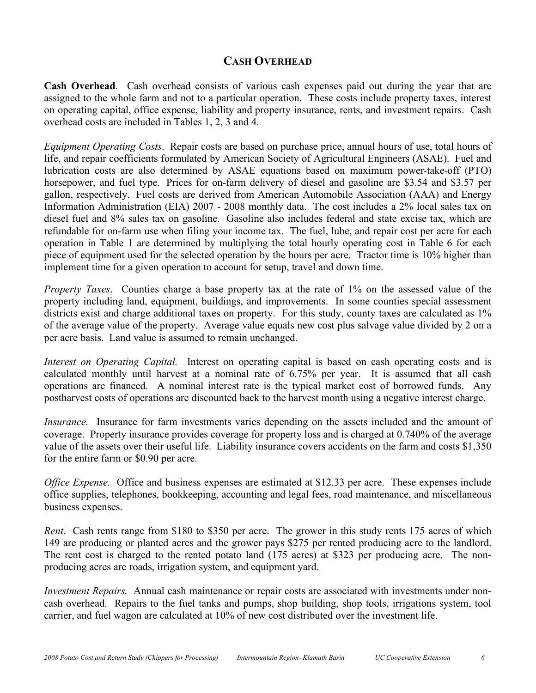# **CASH OVERHEAD**

**Cash Overhead**. Cash overhead consists of various cash expenses paid out during the year that are assigned to the whole farm and not to a particular operation. These costs include property taxes, interest on operating capital, office expense, liability and property insurance, rents, and investment repairs. Cash overhead costs are included in Tables 1, 2, 3 and 4.

*Equipment Operating Costs*. Repair costs are based on purchase price, annual hours of use, total hours of life, and repair coefficients formulated by American Society of Agricultural Engineers (ASAE). Fuel and lubrication costs are also determined by ASAE equations based on maximum power-take-off (PTO) horsepower, and fuel type. Prices for on-farm delivery of diesel and gasoline are \$3.54 and \$3.57 per gallon, respectively. Fuel costs are derived from American Automobile Association (AAA) and Energy Information Administration (EIA) 2007 - 2008 monthly data. The cost includes a 2% local sales tax on diesel fuel and 8% sales tax on gasoline. Gasoline also includes federal and state excise tax, which are refundable for on-farm use when filing your income tax. The fuel, lube, and repair cost per acre for each operation in Table 1 are determined by multiplying the total hourly operating cost in Table 6 for each piece of equipment used for the selected operation by the hours per acre. Tractor time is 10% higher than implement time for a given operation to account for setup, travel and down time.

*Property Taxes*. Counties charge a base property tax at the rate of 1% on the assessed value of the property including land, equipment, buildings, and improvements. In some counties special assessment districts exist and charge additional taxes on property. For this study, county taxes are calculated as  $1\%$ of the average value of the property. Average value equals new cost plus salvage value divided by 2 on a per acre basis. Land value is assumed to remain unchanged.

*Interest on Operating Capital.* Interest on operating capital is based on cash operating costs and is calculated monthly until harvest at a nominal rate of 6.75% per year. It is assumed that all cash operations are financed. A nominal interest rate is the typical market cost of borrowed funds. Any postharvest costs of operations are discounted back to the harvest month using a negative interest charge.

*Insurance.* Insurance for farm investments varies depending on the assets included and the amount of coverage. Property insurance provides coverage for property loss and is charged at 0.740% of the average value of the assets over their useful life. Liability insurance covers accidents on the farm and costs \$1,350 for the entire farm or \$0.90 per acre.

*Office Expense.* Office and business expenses are estimated at \$12.33 per acre. These expenses include office supplies, telephones, bookkeeping, accounting and legal fees, road maintenance, and miscellaneous business expenses.

*Rent.* Cash rents range from \$180 to \$350 per acre. The grower in this study rents 175 acres of which 149 are producing or planted acres and the grower pays \$275 per rented producing acre to the landlord. The rent cost is charged to the rented potato land (175 acres) at \$323 per producing acre. The nonproducing acres are roads, irrigation system, and equipment yard.

*Investment Repairs.* Annual cash maintenance or repair costs are associated with investments under noncash overhead. Repairs to the fuel tanks and pumps, shop building, shop tools, irrigations system, tool carrier, and fuel wagon are calculated at 10% of new cost distributed over the investment life.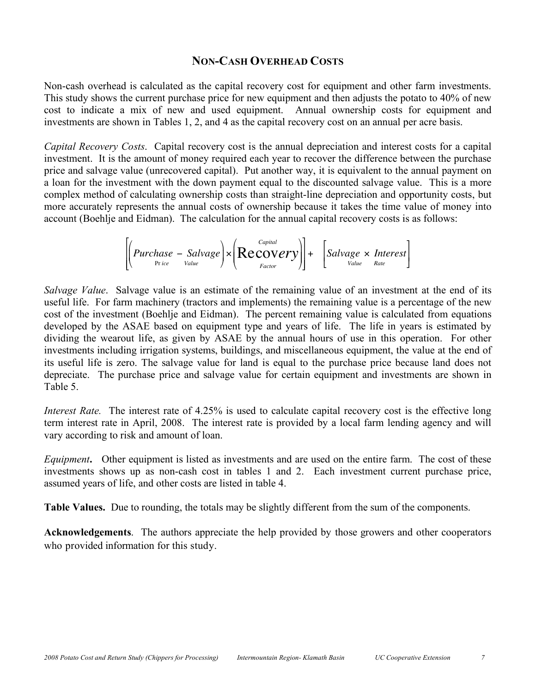## **NON-CASH OVERHEAD COSTS**

Non-cash overhead is calculated as the capital recovery cost for equipment and other farm investments. This study shows the current purchase price for new equipment and then adjusts the potato to 40% of new cost to indicate a mix of new and used equipment. Annual ownership costs for equipment and investments are shown in Tables 1, 2, and 4 as the capital recovery cost on an annual per acre basis.

*Capital Recovery Costs*. Capital recovery cost is the annual depreciation and interest costs for a capital investment. It is the amount of money required each year to recover the difference between the purchase price and salvage value (unrecovered capital). Put another way, it is equivalent to the annual payment on a loan for the investment with the down payment equal to the discounted salvage value. This is a more complex method of calculating ownership costs than straight-line depreciation and opportunity costs, but more accurately represents the annual costs of ownership because it takes the time value of money into account (Boehlje and Eidman). The calculation for the annual capital recovery costs is as follows:

$$
\left[\left(Purchase - Salvage\right) \times \left( \underset{Factor}{Recovery} \right) \right] + \left[ Salvage \times Interest \right]
$$

cost of the investment (Boehlje and Eidman). The percent remaining value is calculated from equations *Salvage Value*. Salvage value is an estimate of the remaining value of an investment at the end of its useful life. For farm machinery (tractors and implements) the remaining value is a percentage of the new developed by the ASAE based on equipment type and years of life. The life in years is estimated by dividing the wearout life, as given by ASAE by the annual hours of use in this operation. For other investments including irrigation systems, buildings, and miscellaneous equipment, the value at the end of its useful life is zero. The salvage value for land is equal to the purchase price because land does not depreciate. The purchase price and salvage value for certain equipment and investments are shown in Table 5.

*Interest Rate.* The interest rate of 4.25% is used to calculate capital recovery cost is the effective long term interest rate in April, 2008. The interest rate is provided by a local farm lending agency and will vary according to risk and amount of loan.

*Equipment***.** Other equipment is listed as investments and are used on the entire farm. The cost of these investments shows up as non-cash cost in tables 1 and 2. Each investment current purchase price, assumed years of life, and other costs are listed in table 4.

**Table Values.** Due to rounding, the totals may be slightly different from the sum of the components.

**Acknowledgements**. The authors appreciate the help provided by those growers and other cooperators who provided information for this study.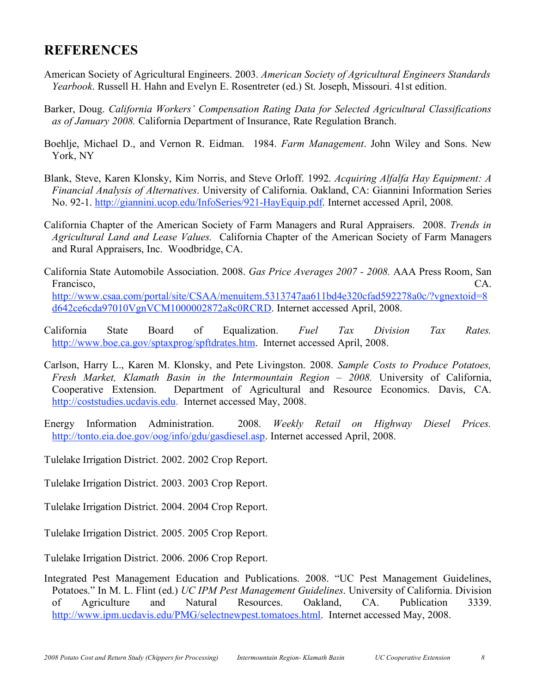# **REFERENCES**

- American Society of Agricultural Engineers. 2003. *American Society of Agricultural Engineers Standards Yearbook*. Russell H. Hahn and Evelyn E. Rosentreter (ed.) St. Joseph, Missouri. 41st edition.
- Barker, Doug. *California Workers' Compensation Rating Data for Selected Agricultural Classifications as of January 2008.* California Department of Insurance, Rate Regulation Branch.
- Boehlje, Michael D., and Vernon R. Eidman. 1984. *Farm Management*. John Wiley and Sons. New York, NY
- Blank, Steve, Karen Klonsky, Kim Norris, and Steve Orloff. 1992. *Acquiring Alfalfa Hay Equipment: A Financial Analysis of Alternatives*. University of California. Oakland, CA: Giannini Information Series No. 92-1. http://giannini.ucop.edu/InfoSeries/921-HayEquip.pdf. Internet accessed April, 2008.
- California Chapter of the American Society of Farm Managers and Rural Appraisers. 2008. *Trends in Agricultural Land and Lease Values.* California Chapter of the American Society of Farm Managers and Rural Appraisers, Inc. Woodbridge, CA.
- California State Automobile Association. 2008. *Gas Price Averages 2007 - 2008.* AAA Press Room, San Francisco, CA. http://www.csaa.com/portal/site/CSAA/menuitem.5313747aa611bd4e320cfad592278a0c/?vgnextoid=8 d642ce6cda97010VgnVCM1000002872a8c0RCRD. Internet accessed April, 2008.
- California State Board of Equalization. *Fuel Tax Division Tax Rates.* http://www.boe.ca.gov/sptaxprog/spftdrates.htm. Internet accessed April, 2008.
- Carlson, Harry L., Karen M. Klonsky, and Pete Livingston. 2008. *Sample Costs to Produce Potatoes, Fresh Market, Klamath Basin in the Intermountain Region – 2008.* University of California, Cooperative Extension. Department of Agricultural and Resource Economics. Davis, CA. http://coststudies.ucdavis.edu. Internet accessed May, 2008.
- Energy Information Administration. 2008. *Weekly Retail on Highway Diesel Prices.* http://tonto.eia.doe.gov/oog/info/gdu/gasdiesel.asp. Internet accessed April, 2008.
- Tulelake Irrigation District. 2002. 2002 Crop Report.
- Tulelake Irrigation District. 2003. 2003 Crop Report.
- Tulelake Irrigation District. 2004. 2004 Crop Report.
- Tulelake Irrigation District. 2005. 2005 Crop Report.
- Tulelake Irrigation District. 2006. 2006 Crop Report.
- Integrated Pest Management Education and Publications. 2008. "UC Pest Management Guidelines, Potatoes." In M. L. Flint (ed.) *UC IPM Pest Management Guidelines*. University of California. Division of Agriculture and Natural Resources. Oakland, CA. Publication 3339. http://www.ipm.ucdavis.edu/PMG/selectnewpest.tomatoes.html. Internet accessed May, 2008.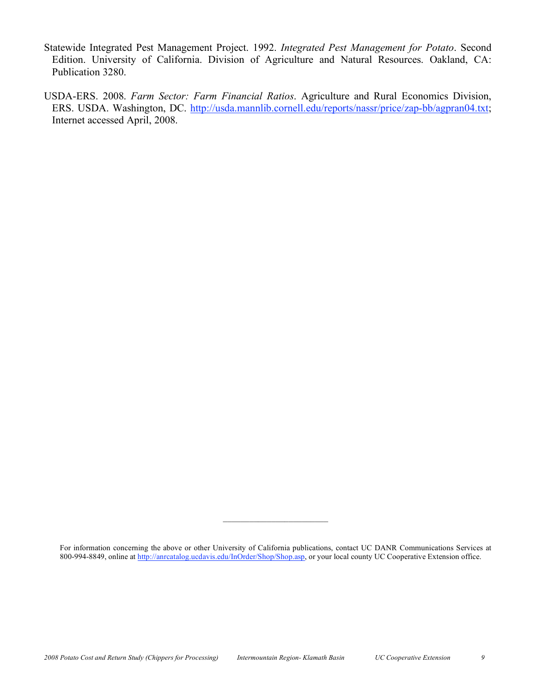- Statewide Integrated Pest Management Project. 1992. *Integrated Pest Management for Potato*. Second Edition. University of California. Division of Agriculture and Natural Resources. Oakland, CA: Publication 3280.
- USDA-ERS. 2008. *Farm Sector: Farm Financial Ratios*. Agriculture and Rural Economics Division, ERS. USDA. Washington, DC. http://usda.mannlib.cornell.edu/reports/nassr/price/zap-bb/agpran04.txt; Internet accessed April, 2008.

 $\mathcal{L}=\mathcal{L}=\mathcal{L}=\mathcal{L}=\mathcal{L}=\mathcal{L}=\mathcal{L}=\mathcal{L}=\mathcal{L}=\mathcal{L}=\mathcal{L}=\mathcal{L}=\mathcal{L}=\mathcal{L}=\mathcal{L}=\mathcal{L}=\mathcal{L}=\mathcal{L}=\mathcal{L}=\mathcal{L}=\mathcal{L}=\mathcal{L}=\mathcal{L}=\mathcal{L}=\mathcal{L}=\mathcal{L}=\mathcal{L}=\mathcal{L}=\mathcal{L}=\mathcal{L}=\mathcal{L}=\mathcal{L}=\mathcal{L}=\mathcal{L}=\mathcal{L}=\mathcal{L}=\mathcal{$ 

For information concerning the above or other University of California publications, contact UC DANR Communications Services at 800-994-8849, online at http://anrcatalog.ucdavis.edu/InOrder/Shop/Shop.asp, or your local county UC Cooperative Extension office.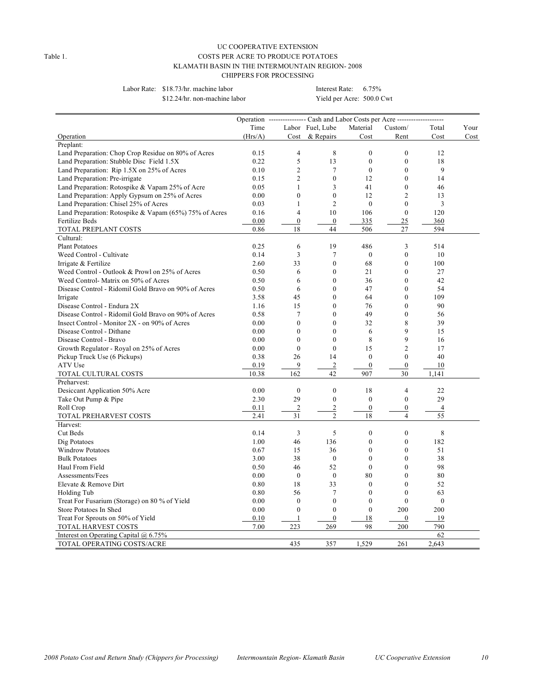#### UC COOPERATIVE EXTENSION Table 1. COSTS PER ACRE TO PRODUCE POTATOES KLAMATH BASIN IN THE INTERMOUNTAIN REGION- 2008 CHIPPERS FOR PROCESSING

Labor Rate: \$18.73/hr. machine labor Interest Rate: 6.75%

\$12.24/hr. non-machine labor Yield per Acre: 500.0 Cwt

| Time<br>Labor Fuel, Lube<br>Material<br>Custom/<br>Your<br>Total<br>& Repairs<br>Cost<br>Operation<br>(Hrs/A)<br>Cost<br>Cost<br>Rent<br>Cost<br>Preplant:<br>8<br>$\mathbf{0}$<br>Land Preparation: Chop Crop Residue on 80% of Acres<br>0.15<br>$\overline{4}$<br>$\mathbf{0}$<br>12<br>Land Preparation: Stubble Disc Field 1.5X<br>0.22<br>5<br>13<br>$\boldsymbol{0}$<br>$\mathbf{0}$<br>18<br>Land Preparation: Rip 1.5X on 25% of Acres<br>0.10<br>$\overline{c}$<br>7<br>$\mathbf{0}$<br>$\theta$<br>9<br>Land Preparation: Pre-irrigate<br>$\mathfrak{2}$<br>$\boldsymbol{0}$<br>$\mathbf{0}$<br>14<br>0.15<br>12<br>Land Preparation: Rotospike & Vapam 25% of Acre<br>3<br>41<br>$\theta$<br>0.05<br>1<br>46<br>$\boldsymbol{0}$<br>$\mathbf{0}$<br>12<br>$\overline{2}$<br>Land Preparation: Apply Gypsum on 25% of Acres<br>0.00<br>13<br>$\overline{c}$<br>Land Preparation: Chisel 25% of Acres<br>$\mathbf{0}$<br>$\theta$<br>3<br>0.03<br>1<br>10<br>$\theta$<br>120<br>Land Preparation: Rotospike & Vapam (65%) 75% of Acres<br>0.16<br>$\overline{4}$<br>106<br>$\boldsymbol{0}$<br>25<br>Fertilize Beds<br>0.00<br>$\bf{0}$<br>335<br>360<br>0.86<br>18<br>44<br>506<br>27<br>594<br>TOTAL PREPLANT COSTS<br>Cultural:<br>3<br><b>Plant Potatoes</b><br>0.25<br>6<br>19<br>486<br>514<br>3<br>$\tau$<br>$\boldsymbol{0}$<br>Weed Control - Cultivate<br>0.14<br>$\boldsymbol{0}$<br>10<br>$\mathbf{0}$<br>33<br>68<br>$\mathbf{0}$<br>100<br>Irrigate & Fertilize<br>2.60<br>$\boldsymbol{0}$<br>$\mathbf{0}$<br>Weed Control - Outlook & Prowl on 25% of Acres<br>0.50<br>6<br>21<br>27<br>$\mathbf{0}$<br>36<br>$\mathbf{0}$<br>42<br>Weed Control-Matrix on 50% of Acres<br>0.50<br>6<br>Disease Control - Ridomil Gold Bravo on 90% of Acres<br>0.50<br>$\boldsymbol{0}$<br>47<br>$\theta$<br>54<br>6<br>Irrigate<br>3.58<br>45<br>$\mathbf{0}$<br>64<br>$\mathbf{0}$<br>109<br>$\mathbf{0}$<br>Disease Control - Endura 2X<br>15<br>76<br>$\theta$<br>90<br>1.16<br>Disease Control - Ridomil Gold Bravo on 90% of Acres<br>$\mathbf{0}$<br>49<br>0.58<br>7<br>$\mathbf{0}$<br>56<br>$\theta$<br>8<br>Insect Control - Monitor $2X$ - on 90% of Acres<br>0.00<br>$\mathbf{0}$<br>32<br>39<br>$\mathbf{0}$<br>9<br>Disease Control - Dithane<br>0.00<br>$\mathbf{0}$<br>6<br>15<br>9<br>$\mathbf{0}$<br>$\mathbf{0}$<br>8<br>Disease Control - Bravo<br>0.00<br>16<br>$\mathbf{0}$<br>Growth Regulator - Royal on 25% of Acres<br>0.00<br>$\mathbf{0}$<br>15<br>$\overline{2}$<br>17<br>$\mathbf{0}$<br>40<br>Pickup Truck Use (6 Pickups)<br>0.38<br>26<br>14<br>$\boldsymbol{0}$<br>ATV Use<br>9<br>$\overline{2}$<br>$\boldsymbol{0}$<br>$\boldsymbol{0}$<br>10<br>0.19<br>42<br>907<br>10.38<br>162<br>30<br>1,141<br>TOTAL CULTURAL COSTS<br>Preharvest:<br>$\boldsymbol{0}$<br>Desiccant Application 50% Acre<br>0.00<br>$\mathbf{0}$<br>18<br>$\overline{4}$<br>22<br>29<br>Take Out Pump & Pipe<br>2.30<br>29<br>$\boldsymbol{0}$<br>$\mathbf{0}$<br>$\theta$<br>$\overline{2}$<br>$\mathbf{2}$<br>$\boldsymbol{0}$<br>Roll Crop<br>0.11<br>$\boldsymbol{0}$<br>$\overline{4}$<br>$\overline{2}$<br>$\overline{4}$<br>55<br>2.41<br>31<br>18<br>TOTAL PREHARVEST COSTS<br>Harvest:<br>5<br>8<br>3<br>$\boldsymbol{0}$<br>$\mathbf{0}$<br><b>Cut Beds</b><br>0.14<br>$\boldsymbol{0}$<br>$\theta$<br>182<br>1.00<br>46<br>136<br>Dig Potatoes<br>$\boldsymbol{0}$<br>$\mathbf{0}$<br>51<br><b>Windrow Potatoes</b><br>0.67<br>15<br>36<br>3.00<br>38<br>$\mathbf{0}$<br>$\mathbf{0}$<br>$\mathbf{0}$<br>38<br><b>Bulk Potatoes</b><br>0.50<br>46<br>52<br>$\mathbf{0}$<br>$\mathbf{0}$<br>98<br>Haul From Field<br>$\mathbf{0}$<br>80<br>$\mathbf{0}$<br>80<br>Assessments/Fees<br>0.00<br>$\mathbf{0}$<br>Elevate & Remove Dirt<br>33<br>$\boldsymbol{0}$<br>$\mathbf{0}$<br>52<br>0.80<br>18<br>$\tau$<br>$\mathbf{0}$<br>$\mathbf{0}$<br>56<br>63<br>Holding Tub<br>0.80<br>$\mathbf{0}$<br>$\mathbf{0}$<br>$\mathbf{0}$<br>$\theta$<br>$\theta$<br>Treat For Fusarium (Storage) on 80 % of Yield<br>0.00<br>$\mathbf{0}$<br>$\boldsymbol{0}$<br>$\mathbf{0}$<br>200<br>200<br>Store Potatoes In Shed<br>0.00<br>$\mathbf{0}$<br>18<br>19<br>Treat For Sprouts on 50% of Yield<br>0.10<br>$\mathbf{1}$<br>$\mathbf{0}$<br>269<br>98<br>790<br>7.00<br>223<br>200<br>TOTAL HARVEST COSTS<br>62<br>Interest on Operating Capital $@$ 6.75% |  | Operation ---------------- Cash and Labor Costs per Acre -------------------- |  |  |
|-----------------------------------------------------------------------------------------------------------------------------------------------------------------------------------------------------------------------------------------------------------------------------------------------------------------------------------------------------------------------------------------------------------------------------------------------------------------------------------------------------------------------------------------------------------------------------------------------------------------------------------------------------------------------------------------------------------------------------------------------------------------------------------------------------------------------------------------------------------------------------------------------------------------------------------------------------------------------------------------------------------------------------------------------------------------------------------------------------------------------------------------------------------------------------------------------------------------------------------------------------------------------------------------------------------------------------------------------------------------------------------------------------------------------------------------------------------------------------------------------------------------------------------------------------------------------------------------------------------------------------------------------------------------------------------------------------------------------------------------------------------------------------------------------------------------------------------------------------------------------------------------------------------------------------------------------------------------------------------------------------------------------------------------------------------------------------------------------------------------------------------------------------------------------------------------------------------------------------------------------------------------------------------------------------------------------------------------------------------------------------------------------------------------------------------------------------------------------------------------------------------------------------------------------------------------------------------------------------------------------------------------------------------------------------------------------------------------------------------------------------------------------------------------------------------------------------------------------------------------------------------------------------------------------------------------------------------------------------------------------------------------------------------------------------------------------------------------------------------------------------------------------------------------------------------------------------------------------------------------------------------------------------------------------------------------------------------------------------------------------------------------------------------------------------------------------------------------------------------------------------------------------------------------------------------------------------------------------------------------------------------------------------------------------------------------------------------------------------------------------------------------------------------------------------------------------------------------------------------------------------------------------------------------------------------------------------------------------------------------------------------------------------------------------------------------------------------------------------------------------------------------------------------------------------------------------------------------------------------------------------------------------------------------------------------------------------------------------------------------------------|--|-------------------------------------------------------------------------------|--|--|
|                                                                                                                                                                                                                                                                                                                                                                                                                                                                                                                                                                                                                                                                                                                                                                                                                                                                                                                                                                                                                                                                                                                                                                                                                                                                                                                                                                                                                                                                                                                                                                                                                                                                                                                                                                                                                                                                                                                                                                                                                                                                                                                                                                                                                                                                                                                                                                                                                                                                                                                                                                                                                                                                                                                                                                                                                                                                                                                                                                                                                                                                                                                                                                                                                                                                                                                                                                                                                                                                                                                                                                                                                                                                                                                                                                                                                                                                                                                                                                                                                                                                                                                                                                                                                                                                                                                                                                             |  |                                                                               |  |  |
|                                                                                                                                                                                                                                                                                                                                                                                                                                                                                                                                                                                                                                                                                                                                                                                                                                                                                                                                                                                                                                                                                                                                                                                                                                                                                                                                                                                                                                                                                                                                                                                                                                                                                                                                                                                                                                                                                                                                                                                                                                                                                                                                                                                                                                                                                                                                                                                                                                                                                                                                                                                                                                                                                                                                                                                                                                                                                                                                                                                                                                                                                                                                                                                                                                                                                                                                                                                                                                                                                                                                                                                                                                                                                                                                                                                                                                                                                                                                                                                                                                                                                                                                                                                                                                                                                                                                                                             |  |                                                                               |  |  |
|                                                                                                                                                                                                                                                                                                                                                                                                                                                                                                                                                                                                                                                                                                                                                                                                                                                                                                                                                                                                                                                                                                                                                                                                                                                                                                                                                                                                                                                                                                                                                                                                                                                                                                                                                                                                                                                                                                                                                                                                                                                                                                                                                                                                                                                                                                                                                                                                                                                                                                                                                                                                                                                                                                                                                                                                                                                                                                                                                                                                                                                                                                                                                                                                                                                                                                                                                                                                                                                                                                                                                                                                                                                                                                                                                                                                                                                                                                                                                                                                                                                                                                                                                                                                                                                                                                                                                                             |  |                                                                               |  |  |
|                                                                                                                                                                                                                                                                                                                                                                                                                                                                                                                                                                                                                                                                                                                                                                                                                                                                                                                                                                                                                                                                                                                                                                                                                                                                                                                                                                                                                                                                                                                                                                                                                                                                                                                                                                                                                                                                                                                                                                                                                                                                                                                                                                                                                                                                                                                                                                                                                                                                                                                                                                                                                                                                                                                                                                                                                                                                                                                                                                                                                                                                                                                                                                                                                                                                                                                                                                                                                                                                                                                                                                                                                                                                                                                                                                                                                                                                                                                                                                                                                                                                                                                                                                                                                                                                                                                                                                             |  |                                                                               |  |  |
|                                                                                                                                                                                                                                                                                                                                                                                                                                                                                                                                                                                                                                                                                                                                                                                                                                                                                                                                                                                                                                                                                                                                                                                                                                                                                                                                                                                                                                                                                                                                                                                                                                                                                                                                                                                                                                                                                                                                                                                                                                                                                                                                                                                                                                                                                                                                                                                                                                                                                                                                                                                                                                                                                                                                                                                                                                                                                                                                                                                                                                                                                                                                                                                                                                                                                                                                                                                                                                                                                                                                                                                                                                                                                                                                                                                                                                                                                                                                                                                                                                                                                                                                                                                                                                                                                                                                                                             |  |                                                                               |  |  |
|                                                                                                                                                                                                                                                                                                                                                                                                                                                                                                                                                                                                                                                                                                                                                                                                                                                                                                                                                                                                                                                                                                                                                                                                                                                                                                                                                                                                                                                                                                                                                                                                                                                                                                                                                                                                                                                                                                                                                                                                                                                                                                                                                                                                                                                                                                                                                                                                                                                                                                                                                                                                                                                                                                                                                                                                                                                                                                                                                                                                                                                                                                                                                                                                                                                                                                                                                                                                                                                                                                                                                                                                                                                                                                                                                                                                                                                                                                                                                                                                                                                                                                                                                                                                                                                                                                                                                                             |  |                                                                               |  |  |
|                                                                                                                                                                                                                                                                                                                                                                                                                                                                                                                                                                                                                                                                                                                                                                                                                                                                                                                                                                                                                                                                                                                                                                                                                                                                                                                                                                                                                                                                                                                                                                                                                                                                                                                                                                                                                                                                                                                                                                                                                                                                                                                                                                                                                                                                                                                                                                                                                                                                                                                                                                                                                                                                                                                                                                                                                                                                                                                                                                                                                                                                                                                                                                                                                                                                                                                                                                                                                                                                                                                                                                                                                                                                                                                                                                                                                                                                                                                                                                                                                                                                                                                                                                                                                                                                                                                                                                             |  |                                                                               |  |  |
|                                                                                                                                                                                                                                                                                                                                                                                                                                                                                                                                                                                                                                                                                                                                                                                                                                                                                                                                                                                                                                                                                                                                                                                                                                                                                                                                                                                                                                                                                                                                                                                                                                                                                                                                                                                                                                                                                                                                                                                                                                                                                                                                                                                                                                                                                                                                                                                                                                                                                                                                                                                                                                                                                                                                                                                                                                                                                                                                                                                                                                                                                                                                                                                                                                                                                                                                                                                                                                                                                                                                                                                                                                                                                                                                                                                                                                                                                                                                                                                                                                                                                                                                                                                                                                                                                                                                                                             |  |                                                                               |  |  |
|                                                                                                                                                                                                                                                                                                                                                                                                                                                                                                                                                                                                                                                                                                                                                                                                                                                                                                                                                                                                                                                                                                                                                                                                                                                                                                                                                                                                                                                                                                                                                                                                                                                                                                                                                                                                                                                                                                                                                                                                                                                                                                                                                                                                                                                                                                                                                                                                                                                                                                                                                                                                                                                                                                                                                                                                                                                                                                                                                                                                                                                                                                                                                                                                                                                                                                                                                                                                                                                                                                                                                                                                                                                                                                                                                                                                                                                                                                                                                                                                                                                                                                                                                                                                                                                                                                                                                                             |  |                                                                               |  |  |
|                                                                                                                                                                                                                                                                                                                                                                                                                                                                                                                                                                                                                                                                                                                                                                                                                                                                                                                                                                                                                                                                                                                                                                                                                                                                                                                                                                                                                                                                                                                                                                                                                                                                                                                                                                                                                                                                                                                                                                                                                                                                                                                                                                                                                                                                                                                                                                                                                                                                                                                                                                                                                                                                                                                                                                                                                                                                                                                                                                                                                                                                                                                                                                                                                                                                                                                                                                                                                                                                                                                                                                                                                                                                                                                                                                                                                                                                                                                                                                                                                                                                                                                                                                                                                                                                                                                                                                             |  |                                                                               |  |  |
|                                                                                                                                                                                                                                                                                                                                                                                                                                                                                                                                                                                                                                                                                                                                                                                                                                                                                                                                                                                                                                                                                                                                                                                                                                                                                                                                                                                                                                                                                                                                                                                                                                                                                                                                                                                                                                                                                                                                                                                                                                                                                                                                                                                                                                                                                                                                                                                                                                                                                                                                                                                                                                                                                                                                                                                                                                                                                                                                                                                                                                                                                                                                                                                                                                                                                                                                                                                                                                                                                                                                                                                                                                                                                                                                                                                                                                                                                                                                                                                                                                                                                                                                                                                                                                                                                                                                                                             |  |                                                                               |  |  |
|                                                                                                                                                                                                                                                                                                                                                                                                                                                                                                                                                                                                                                                                                                                                                                                                                                                                                                                                                                                                                                                                                                                                                                                                                                                                                                                                                                                                                                                                                                                                                                                                                                                                                                                                                                                                                                                                                                                                                                                                                                                                                                                                                                                                                                                                                                                                                                                                                                                                                                                                                                                                                                                                                                                                                                                                                                                                                                                                                                                                                                                                                                                                                                                                                                                                                                                                                                                                                                                                                                                                                                                                                                                                                                                                                                                                                                                                                                                                                                                                                                                                                                                                                                                                                                                                                                                                                                             |  |                                                                               |  |  |
|                                                                                                                                                                                                                                                                                                                                                                                                                                                                                                                                                                                                                                                                                                                                                                                                                                                                                                                                                                                                                                                                                                                                                                                                                                                                                                                                                                                                                                                                                                                                                                                                                                                                                                                                                                                                                                                                                                                                                                                                                                                                                                                                                                                                                                                                                                                                                                                                                                                                                                                                                                                                                                                                                                                                                                                                                                                                                                                                                                                                                                                                                                                                                                                                                                                                                                                                                                                                                                                                                                                                                                                                                                                                                                                                                                                                                                                                                                                                                                                                                                                                                                                                                                                                                                                                                                                                                                             |  |                                                                               |  |  |
|                                                                                                                                                                                                                                                                                                                                                                                                                                                                                                                                                                                                                                                                                                                                                                                                                                                                                                                                                                                                                                                                                                                                                                                                                                                                                                                                                                                                                                                                                                                                                                                                                                                                                                                                                                                                                                                                                                                                                                                                                                                                                                                                                                                                                                                                                                                                                                                                                                                                                                                                                                                                                                                                                                                                                                                                                                                                                                                                                                                                                                                                                                                                                                                                                                                                                                                                                                                                                                                                                                                                                                                                                                                                                                                                                                                                                                                                                                                                                                                                                                                                                                                                                                                                                                                                                                                                                                             |  |                                                                               |  |  |
|                                                                                                                                                                                                                                                                                                                                                                                                                                                                                                                                                                                                                                                                                                                                                                                                                                                                                                                                                                                                                                                                                                                                                                                                                                                                                                                                                                                                                                                                                                                                                                                                                                                                                                                                                                                                                                                                                                                                                                                                                                                                                                                                                                                                                                                                                                                                                                                                                                                                                                                                                                                                                                                                                                                                                                                                                                                                                                                                                                                                                                                                                                                                                                                                                                                                                                                                                                                                                                                                                                                                                                                                                                                                                                                                                                                                                                                                                                                                                                                                                                                                                                                                                                                                                                                                                                                                                                             |  |                                                                               |  |  |
|                                                                                                                                                                                                                                                                                                                                                                                                                                                                                                                                                                                                                                                                                                                                                                                                                                                                                                                                                                                                                                                                                                                                                                                                                                                                                                                                                                                                                                                                                                                                                                                                                                                                                                                                                                                                                                                                                                                                                                                                                                                                                                                                                                                                                                                                                                                                                                                                                                                                                                                                                                                                                                                                                                                                                                                                                                                                                                                                                                                                                                                                                                                                                                                                                                                                                                                                                                                                                                                                                                                                                                                                                                                                                                                                                                                                                                                                                                                                                                                                                                                                                                                                                                                                                                                                                                                                                                             |  |                                                                               |  |  |
|                                                                                                                                                                                                                                                                                                                                                                                                                                                                                                                                                                                                                                                                                                                                                                                                                                                                                                                                                                                                                                                                                                                                                                                                                                                                                                                                                                                                                                                                                                                                                                                                                                                                                                                                                                                                                                                                                                                                                                                                                                                                                                                                                                                                                                                                                                                                                                                                                                                                                                                                                                                                                                                                                                                                                                                                                                                                                                                                                                                                                                                                                                                                                                                                                                                                                                                                                                                                                                                                                                                                                                                                                                                                                                                                                                                                                                                                                                                                                                                                                                                                                                                                                                                                                                                                                                                                                                             |  |                                                                               |  |  |
|                                                                                                                                                                                                                                                                                                                                                                                                                                                                                                                                                                                                                                                                                                                                                                                                                                                                                                                                                                                                                                                                                                                                                                                                                                                                                                                                                                                                                                                                                                                                                                                                                                                                                                                                                                                                                                                                                                                                                                                                                                                                                                                                                                                                                                                                                                                                                                                                                                                                                                                                                                                                                                                                                                                                                                                                                                                                                                                                                                                                                                                                                                                                                                                                                                                                                                                                                                                                                                                                                                                                                                                                                                                                                                                                                                                                                                                                                                                                                                                                                                                                                                                                                                                                                                                                                                                                                                             |  |                                                                               |  |  |
|                                                                                                                                                                                                                                                                                                                                                                                                                                                                                                                                                                                                                                                                                                                                                                                                                                                                                                                                                                                                                                                                                                                                                                                                                                                                                                                                                                                                                                                                                                                                                                                                                                                                                                                                                                                                                                                                                                                                                                                                                                                                                                                                                                                                                                                                                                                                                                                                                                                                                                                                                                                                                                                                                                                                                                                                                                                                                                                                                                                                                                                                                                                                                                                                                                                                                                                                                                                                                                                                                                                                                                                                                                                                                                                                                                                                                                                                                                                                                                                                                                                                                                                                                                                                                                                                                                                                                                             |  |                                                                               |  |  |
|                                                                                                                                                                                                                                                                                                                                                                                                                                                                                                                                                                                                                                                                                                                                                                                                                                                                                                                                                                                                                                                                                                                                                                                                                                                                                                                                                                                                                                                                                                                                                                                                                                                                                                                                                                                                                                                                                                                                                                                                                                                                                                                                                                                                                                                                                                                                                                                                                                                                                                                                                                                                                                                                                                                                                                                                                                                                                                                                                                                                                                                                                                                                                                                                                                                                                                                                                                                                                                                                                                                                                                                                                                                                                                                                                                                                                                                                                                                                                                                                                                                                                                                                                                                                                                                                                                                                                                             |  |                                                                               |  |  |
|                                                                                                                                                                                                                                                                                                                                                                                                                                                                                                                                                                                                                                                                                                                                                                                                                                                                                                                                                                                                                                                                                                                                                                                                                                                                                                                                                                                                                                                                                                                                                                                                                                                                                                                                                                                                                                                                                                                                                                                                                                                                                                                                                                                                                                                                                                                                                                                                                                                                                                                                                                                                                                                                                                                                                                                                                                                                                                                                                                                                                                                                                                                                                                                                                                                                                                                                                                                                                                                                                                                                                                                                                                                                                                                                                                                                                                                                                                                                                                                                                                                                                                                                                                                                                                                                                                                                                                             |  |                                                                               |  |  |
|                                                                                                                                                                                                                                                                                                                                                                                                                                                                                                                                                                                                                                                                                                                                                                                                                                                                                                                                                                                                                                                                                                                                                                                                                                                                                                                                                                                                                                                                                                                                                                                                                                                                                                                                                                                                                                                                                                                                                                                                                                                                                                                                                                                                                                                                                                                                                                                                                                                                                                                                                                                                                                                                                                                                                                                                                                                                                                                                                                                                                                                                                                                                                                                                                                                                                                                                                                                                                                                                                                                                                                                                                                                                                                                                                                                                                                                                                                                                                                                                                                                                                                                                                                                                                                                                                                                                                                             |  |                                                                               |  |  |
|                                                                                                                                                                                                                                                                                                                                                                                                                                                                                                                                                                                                                                                                                                                                                                                                                                                                                                                                                                                                                                                                                                                                                                                                                                                                                                                                                                                                                                                                                                                                                                                                                                                                                                                                                                                                                                                                                                                                                                                                                                                                                                                                                                                                                                                                                                                                                                                                                                                                                                                                                                                                                                                                                                                                                                                                                                                                                                                                                                                                                                                                                                                                                                                                                                                                                                                                                                                                                                                                                                                                                                                                                                                                                                                                                                                                                                                                                                                                                                                                                                                                                                                                                                                                                                                                                                                                                                             |  |                                                                               |  |  |
|                                                                                                                                                                                                                                                                                                                                                                                                                                                                                                                                                                                                                                                                                                                                                                                                                                                                                                                                                                                                                                                                                                                                                                                                                                                                                                                                                                                                                                                                                                                                                                                                                                                                                                                                                                                                                                                                                                                                                                                                                                                                                                                                                                                                                                                                                                                                                                                                                                                                                                                                                                                                                                                                                                                                                                                                                                                                                                                                                                                                                                                                                                                                                                                                                                                                                                                                                                                                                                                                                                                                                                                                                                                                                                                                                                                                                                                                                                                                                                                                                                                                                                                                                                                                                                                                                                                                                                             |  |                                                                               |  |  |
|                                                                                                                                                                                                                                                                                                                                                                                                                                                                                                                                                                                                                                                                                                                                                                                                                                                                                                                                                                                                                                                                                                                                                                                                                                                                                                                                                                                                                                                                                                                                                                                                                                                                                                                                                                                                                                                                                                                                                                                                                                                                                                                                                                                                                                                                                                                                                                                                                                                                                                                                                                                                                                                                                                                                                                                                                                                                                                                                                                                                                                                                                                                                                                                                                                                                                                                                                                                                                                                                                                                                                                                                                                                                                                                                                                                                                                                                                                                                                                                                                                                                                                                                                                                                                                                                                                                                                                             |  |                                                                               |  |  |
|                                                                                                                                                                                                                                                                                                                                                                                                                                                                                                                                                                                                                                                                                                                                                                                                                                                                                                                                                                                                                                                                                                                                                                                                                                                                                                                                                                                                                                                                                                                                                                                                                                                                                                                                                                                                                                                                                                                                                                                                                                                                                                                                                                                                                                                                                                                                                                                                                                                                                                                                                                                                                                                                                                                                                                                                                                                                                                                                                                                                                                                                                                                                                                                                                                                                                                                                                                                                                                                                                                                                                                                                                                                                                                                                                                                                                                                                                                                                                                                                                                                                                                                                                                                                                                                                                                                                                                             |  |                                                                               |  |  |
|                                                                                                                                                                                                                                                                                                                                                                                                                                                                                                                                                                                                                                                                                                                                                                                                                                                                                                                                                                                                                                                                                                                                                                                                                                                                                                                                                                                                                                                                                                                                                                                                                                                                                                                                                                                                                                                                                                                                                                                                                                                                                                                                                                                                                                                                                                                                                                                                                                                                                                                                                                                                                                                                                                                                                                                                                                                                                                                                                                                                                                                                                                                                                                                                                                                                                                                                                                                                                                                                                                                                                                                                                                                                                                                                                                                                                                                                                                                                                                                                                                                                                                                                                                                                                                                                                                                                                                             |  |                                                                               |  |  |
|                                                                                                                                                                                                                                                                                                                                                                                                                                                                                                                                                                                                                                                                                                                                                                                                                                                                                                                                                                                                                                                                                                                                                                                                                                                                                                                                                                                                                                                                                                                                                                                                                                                                                                                                                                                                                                                                                                                                                                                                                                                                                                                                                                                                                                                                                                                                                                                                                                                                                                                                                                                                                                                                                                                                                                                                                                                                                                                                                                                                                                                                                                                                                                                                                                                                                                                                                                                                                                                                                                                                                                                                                                                                                                                                                                                                                                                                                                                                                                                                                                                                                                                                                                                                                                                                                                                                                                             |  |                                                                               |  |  |
|                                                                                                                                                                                                                                                                                                                                                                                                                                                                                                                                                                                                                                                                                                                                                                                                                                                                                                                                                                                                                                                                                                                                                                                                                                                                                                                                                                                                                                                                                                                                                                                                                                                                                                                                                                                                                                                                                                                                                                                                                                                                                                                                                                                                                                                                                                                                                                                                                                                                                                                                                                                                                                                                                                                                                                                                                                                                                                                                                                                                                                                                                                                                                                                                                                                                                                                                                                                                                                                                                                                                                                                                                                                                                                                                                                                                                                                                                                                                                                                                                                                                                                                                                                                                                                                                                                                                                                             |  |                                                                               |  |  |
|                                                                                                                                                                                                                                                                                                                                                                                                                                                                                                                                                                                                                                                                                                                                                                                                                                                                                                                                                                                                                                                                                                                                                                                                                                                                                                                                                                                                                                                                                                                                                                                                                                                                                                                                                                                                                                                                                                                                                                                                                                                                                                                                                                                                                                                                                                                                                                                                                                                                                                                                                                                                                                                                                                                                                                                                                                                                                                                                                                                                                                                                                                                                                                                                                                                                                                                                                                                                                                                                                                                                                                                                                                                                                                                                                                                                                                                                                                                                                                                                                                                                                                                                                                                                                                                                                                                                                                             |  |                                                                               |  |  |
|                                                                                                                                                                                                                                                                                                                                                                                                                                                                                                                                                                                                                                                                                                                                                                                                                                                                                                                                                                                                                                                                                                                                                                                                                                                                                                                                                                                                                                                                                                                                                                                                                                                                                                                                                                                                                                                                                                                                                                                                                                                                                                                                                                                                                                                                                                                                                                                                                                                                                                                                                                                                                                                                                                                                                                                                                                                                                                                                                                                                                                                                                                                                                                                                                                                                                                                                                                                                                                                                                                                                                                                                                                                                                                                                                                                                                                                                                                                                                                                                                                                                                                                                                                                                                                                                                                                                                                             |  |                                                                               |  |  |
|                                                                                                                                                                                                                                                                                                                                                                                                                                                                                                                                                                                                                                                                                                                                                                                                                                                                                                                                                                                                                                                                                                                                                                                                                                                                                                                                                                                                                                                                                                                                                                                                                                                                                                                                                                                                                                                                                                                                                                                                                                                                                                                                                                                                                                                                                                                                                                                                                                                                                                                                                                                                                                                                                                                                                                                                                                                                                                                                                                                                                                                                                                                                                                                                                                                                                                                                                                                                                                                                                                                                                                                                                                                                                                                                                                                                                                                                                                                                                                                                                                                                                                                                                                                                                                                                                                                                                                             |  |                                                                               |  |  |
|                                                                                                                                                                                                                                                                                                                                                                                                                                                                                                                                                                                                                                                                                                                                                                                                                                                                                                                                                                                                                                                                                                                                                                                                                                                                                                                                                                                                                                                                                                                                                                                                                                                                                                                                                                                                                                                                                                                                                                                                                                                                                                                                                                                                                                                                                                                                                                                                                                                                                                                                                                                                                                                                                                                                                                                                                                                                                                                                                                                                                                                                                                                                                                                                                                                                                                                                                                                                                                                                                                                                                                                                                                                                                                                                                                                                                                                                                                                                                                                                                                                                                                                                                                                                                                                                                                                                                                             |  |                                                                               |  |  |
|                                                                                                                                                                                                                                                                                                                                                                                                                                                                                                                                                                                                                                                                                                                                                                                                                                                                                                                                                                                                                                                                                                                                                                                                                                                                                                                                                                                                                                                                                                                                                                                                                                                                                                                                                                                                                                                                                                                                                                                                                                                                                                                                                                                                                                                                                                                                                                                                                                                                                                                                                                                                                                                                                                                                                                                                                                                                                                                                                                                                                                                                                                                                                                                                                                                                                                                                                                                                                                                                                                                                                                                                                                                                                                                                                                                                                                                                                                                                                                                                                                                                                                                                                                                                                                                                                                                                                                             |  |                                                                               |  |  |
|                                                                                                                                                                                                                                                                                                                                                                                                                                                                                                                                                                                                                                                                                                                                                                                                                                                                                                                                                                                                                                                                                                                                                                                                                                                                                                                                                                                                                                                                                                                                                                                                                                                                                                                                                                                                                                                                                                                                                                                                                                                                                                                                                                                                                                                                                                                                                                                                                                                                                                                                                                                                                                                                                                                                                                                                                                                                                                                                                                                                                                                                                                                                                                                                                                                                                                                                                                                                                                                                                                                                                                                                                                                                                                                                                                                                                                                                                                                                                                                                                                                                                                                                                                                                                                                                                                                                                                             |  |                                                                               |  |  |
|                                                                                                                                                                                                                                                                                                                                                                                                                                                                                                                                                                                                                                                                                                                                                                                                                                                                                                                                                                                                                                                                                                                                                                                                                                                                                                                                                                                                                                                                                                                                                                                                                                                                                                                                                                                                                                                                                                                                                                                                                                                                                                                                                                                                                                                                                                                                                                                                                                                                                                                                                                                                                                                                                                                                                                                                                                                                                                                                                                                                                                                                                                                                                                                                                                                                                                                                                                                                                                                                                                                                                                                                                                                                                                                                                                                                                                                                                                                                                                                                                                                                                                                                                                                                                                                                                                                                                                             |  |                                                                               |  |  |
|                                                                                                                                                                                                                                                                                                                                                                                                                                                                                                                                                                                                                                                                                                                                                                                                                                                                                                                                                                                                                                                                                                                                                                                                                                                                                                                                                                                                                                                                                                                                                                                                                                                                                                                                                                                                                                                                                                                                                                                                                                                                                                                                                                                                                                                                                                                                                                                                                                                                                                                                                                                                                                                                                                                                                                                                                                                                                                                                                                                                                                                                                                                                                                                                                                                                                                                                                                                                                                                                                                                                                                                                                                                                                                                                                                                                                                                                                                                                                                                                                                                                                                                                                                                                                                                                                                                                                                             |  |                                                                               |  |  |
|                                                                                                                                                                                                                                                                                                                                                                                                                                                                                                                                                                                                                                                                                                                                                                                                                                                                                                                                                                                                                                                                                                                                                                                                                                                                                                                                                                                                                                                                                                                                                                                                                                                                                                                                                                                                                                                                                                                                                                                                                                                                                                                                                                                                                                                                                                                                                                                                                                                                                                                                                                                                                                                                                                                                                                                                                                                                                                                                                                                                                                                                                                                                                                                                                                                                                                                                                                                                                                                                                                                                                                                                                                                                                                                                                                                                                                                                                                                                                                                                                                                                                                                                                                                                                                                                                                                                                                             |  |                                                                               |  |  |
|                                                                                                                                                                                                                                                                                                                                                                                                                                                                                                                                                                                                                                                                                                                                                                                                                                                                                                                                                                                                                                                                                                                                                                                                                                                                                                                                                                                                                                                                                                                                                                                                                                                                                                                                                                                                                                                                                                                                                                                                                                                                                                                                                                                                                                                                                                                                                                                                                                                                                                                                                                                                                                                                                                                                                                                                                                                                                                                                                                                                                                                                                                                                                                                                                                                                                                                                                                                                                                                                                                                                                                                                                                                                                                                                                                                                                                                                                                                                                                                                                                                                                                                                                                                                                                                                                                                                                                             |  |                                                                               |  |  |
|                                                                                                                                                                                                                                                                                                                                                                                                                                                                                                                                                                                                                                                                                                                                                                                                                                                                                                                                                                                                                                                                                                                                                                                                                                                                                                                                                                                                                                                                                                                                                                                                                                                                                                                                                                                                                                                                                                                                                                                                                                                                                                                                                                                                                                                                                                                                                                                                                                                                                                                                                                                                                                                                                                                                                                                                                                                                                                                                                                                                                                                                                                                                                                                                                                                                                                                                                                                                                                                                                                                                                                                                                                                                                                                                                                                                                                                                                                                                                                                                                                                                                                                                                                                                                                                                                                                                                                             |  |                                                                               |  |  |
|                                                                                                                                                                                                                                                                                                                                                                                                                                                                                                                                                                                                                                                                                                                                                                                                                                                                                                                                                                                                                                                                                                                                                                                                                                                                                                                                                                                                                                                                                                                                                                                                                                                                                                                                                                                                                                                                                                                                                                                                                                                                                                                                                                                                                                                                                                                                                                                                                                                                                                                                                                                                                                                                                                                                                                                                                                                                                                                                                                                                                                                                                                                                                                                                                                                                                                                                                                                                                                                                                                                                                                                                                                                                                                                                                                                                                                                                                                                                                                                                                                                                                                                                                                                                                                                                                                                                                                             |  |                                                                               |  |  |
|                                                                                                                                                                                                                                                                                                                                                                                                                                                                                                                                                                                                                                                                                                                                                                                                                                                                                                                                                                                                                                                                                                                                                                                                                                                                                                                                                                                                                                                                                                                                                                                                                                                                                                                                                                                                                                                                                                                                                                                                                                                                                                                                                                                                                                                                                                                                                                                                                                                                                                                                                                                                                                                                                                                                                                                                                                                                                                                                                                                                                                                                                                                                                                                                                                                                                                                                                                                                                                                                                                                                                                                                                                                                                                                                                                                                                                                                                                                                                                                                                                                                                                                                                                                                                                                                                                                                                                             |  |                                                                               |  |  |
|                                                                                                                                                                                                                                                                                                                                                                                                                                                                                                                                                                                                                                                                                                                                                                                                                                                                                                                                                                                                                                                                                                                                                                                                                                                                                                                                                                                                                                                                                                                                                                                                                                                                                                                                                                                                                                                                                                                                                                                                                                                                                                                                                                                                                                                                                                                                                                                                                                                                                                                                                                                                                                                                                                                                                                                                                                                                                                                                                                                                                                                                                                                                                                                                                                                                                                                                                                                                                                                                                                                                                                                                                                                                                                                                                                                                                                                                                                                                                                                                                                                                                                                                                                                                                                                                                                                                                                             |  |                                                                               |  |  |
|                                                                                                                                                                                                                                                                                                                                                                                                                                                                                                                                                                                                                                                                                                                                                                                                                                                                                                                                                                                                                                                                                                                                                                                                                                                                                                                                                                                                                                                                                                                                                                                                                                                                                                                                                                                                                                                                                                                                                                                                                                                                                                                                                                                                                                                                                                                                                                                                                                                                                                                                                                                                                                                                                                                                                                                                                                                                                                                                                                                                                                                                                                                                                                                                                                                                                                                                                                                                                                                                                                                                                                                                                                                                                                                                                                                                                                                                                                                                                                                                                                                                                                                                                                                                                                                                                                                                                                             |  |                                                                               |  |  |
|                                                                                                                                                                                                                                                                                                                                                                                                                                                                                                                                                                                                                                                                                                                                                                                                                                                                                                                                                                                                                                                                                                                                                                                                                                                                                                                                                                                                                                                                                                                                                                                                                                                                                                                                                                                                                                                                                                                                                                                                                                                                                                                                                                                                                                                                                                                                                                                                                                                                                                                                                                                                                                                                                                                                                                                                                                                                                                                                                                                                                                                                                                                                                                                                                                                                                                                                                                                                                                                                                                                                                                                                                                                                                                                                                                                                                                                                                                                                                                                                                                                                                                                                                                                                                                                                                                                                                                             |  |                                                                               |  |  |
|                                                                                                                                                                                                                                                                                                                                                                                                                                                                                                                                                                                                                                                                                                                                                                                                                                                                                                                                                                                                                                                                                                                                                                                                                                                                                                                                                                                                                                                                                                                                                                                                                                                                                                                                                                                                                                                                                                                                                                                                                                                                                                                                                                                                                                                                                                                                                                                                                                                                                                                                                                                                                                                                                                                                                                                                                                                                                                                                                                                                                                                                                                                                                                                                                                                                                                                                                                                                                                                                                                                                                                                                                                                                                                                                                                                                                                                                                                                                                                                                                                                                                                                                                                                                                                                                                                                                                                             |  |                                                                               |  |  |
|                                                                                                                                                                                                                                                                                                                                                                                                                                                                                                                                                                                                                                                                                                                                                                                                                                                                                                                                                                                                                                                                                                                                                                                                                                                                                                                                                                                                                                                                                                                                                                                                                                                                                                                                                                                                                                                                                                                                                                                                                                                                                                                                                                                                                                                                                                                                                                                                                                                                                                                                                                                                                                                                                                                                                                                                                                                                                                                                                                                                                                                                                                                                                                                                                                                                                                                                                                                                                                                                                                                                                                                                                                                                                                                                                                                                                                                                                                                                                                                                                                                                                                                                                                                                                                                                                                                                                                             |  |                                                                               |  |  |
|                                                                                                                                                                                                                                                                                                                                                                                                                                                                                                                                                                                                                                                                                                                                                                                                                                                                                                                                                                                                                                                                                                                                                                                                                                                                                                                                                                                                                                                                                                                                                                                                                                                                                                                                                                                                                                                                                                                                                                                                                                                                                                                                                                                                                                                                                                                                                                                                                                                                                                                                                                                                                                                                                                                                                                                                                                                                                                                                                                                                                                                                                                                                                                                                                                                                                                                                                                                                                                                                                                                                                                                                                                                                                                                                                                                                                                                                                                                                                                                                                                                                                                                                                                                                                                                                                                                                                                             |  |                                                                               |  |  |
|                                                                                                                                                                                                                                                                                                                                                                                                                                                                                                                                                                                                                                                                                                                                                                                                                                                                                                                                                                                                                                                                                                                                                                                                                                                                                                                                                                                                                                                                                                                                                                                                                                                                                                                                                                                                                                                                                                                                                                                                                                                                                                                                                                                                                                                                                                                                                                                                                                                                                                                                                                                                                                                                                                                                                                                                                                                                                                                                                                                                                                                                                                                                                                                                                                                                                                                                                                                                                                                                                                                                                                                                                                                                                                                                                                                                                                                                                                                                                                                                                                                                                                                                                                                                                                                                                                                                                                             |  |                                                                               |  |  |
|                                                                                                                                                                                                                                                                                                                                                                                                                                                                                                                                                                                                                                                                                                                                                                                                                                                                                                                                                                                                                                                                                                                                                                                                                                                                                                                                                                                                                                                                                                                                                                                                                                                                                                                                                                                                                                                                                                                                                                                                                                                                                                                                                                                                                                                                                                                                                                                                                                                                                                                                                                                                                                                                                                                                                                                                                                                                                                                                                                                                                                                                                                                                                                                                                                                                                                                                                                                                                                                                                                                                                                                                                                                                                                                                                                                                                                                                                                                                                                                                                                                                                                                                                                                                                                                                                                                                                                             |  |                                                                               |  |  |
| 2,643<br>TOTAL OPERATING COSTS/ACRE<br>435<br>357<br>1,529<br>261                                                                                                                                                                                                                                                                                                                                                                                                                                                                                                                                                                                                                                                                                                                                                                                                                                                                                                                                                                                                                                                                                                                                                                                                                                                                                                                                                                                                                                                                                                                                                                                                                                                                                                                                                                                                                                                                                                                                                                                                                                                                                                                                                                                                                                                                                                                                                                                                                                                                                                                                                                                                                                                                                                                                                                                                                                                                                                                                                                                                                                                                                                                                                                                                                                                                                                                                                                                                                                                                                                                                                                                                                                                                                                                                                                                                                                                                                                                                                                                                                                                                                                                                                                                                                                                                                                           |  |                                                                               |  |  |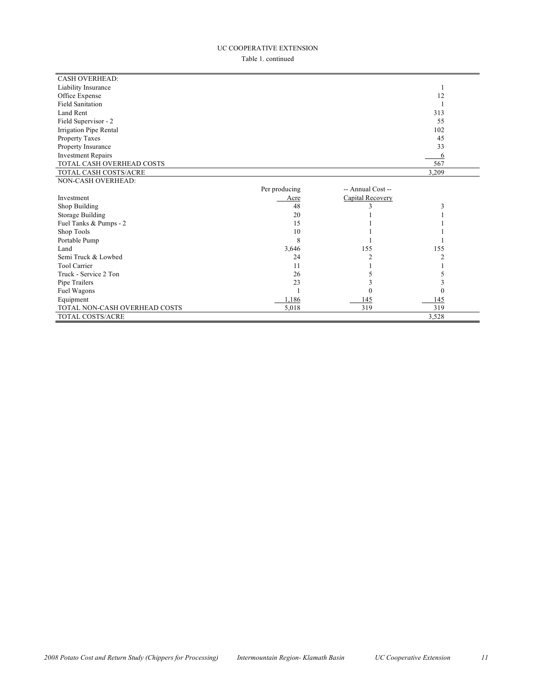#### UC COOPERATIVE EXTENSION

Table 1. continued

| <b>CASH OVERHEAD:</b>         |               |                   |          |
|-------------------------------|---------------|-------------------|----------|
| Liability Insurance           |               |                   |          |
| Office Expense                |               |                   | 12       |
| <b>Field Sanitation</b>       |               |                   |          |
| Land Rent                     |               |                   | 313      |
| Field Supervisor - 2          |               |                   | 55       |
| Irrigation Pipe Rental        |               |                   | 102      |
| Property Taxes                |               |                   | 45       |
| Property Insurance            |               |                   | 33       |
| <b>Investment Repairs</b>     |               |                   | 6        |
| TOTAL CASH OVERHEAD COSTS     |               |                   | 567      |
| TOTAL CASH COSTS/ACRE         |               |                   | 3,209    |
| NON-CASH OVERHEAD:            |               |                   |          |
|                               | Per producing | -- Annual Cost -- |          |
| Investment                    | Acre          | Capital Recovery  |          |
| Shop Building                 | 48            |                   | 3        |
| Storage Building              | 20            |                   |          |
| Fuel Tanks & Pumps - 2        | 15            |                   |          |
| Shop Tools                    | 10            |                   |          |
| Portable Pump                 | 8             |                   |          |
| Land                          | 3,646         | 155               | 155      |
| Semi Truck & Lowbed           | 24            |                   |          |
| <b>Tool Carrier</b>           | 11            |                   |          |
| Truck - Service 2 Ton         | 26            |                   |          |
| Pipe Trailers                 | 23            |                   | 3        |
| Fuel Wagons                   |               | 0                 | $\theta$ |
| Equipment                     | 1,186         | 145               | 145      |
| TOTAL NON-CASH OVERHEAD COSTS | 5,018         | 319               | 319      |
| <b>TOTAL COSTS/ACRE</b>       |               |                   | 3,528    |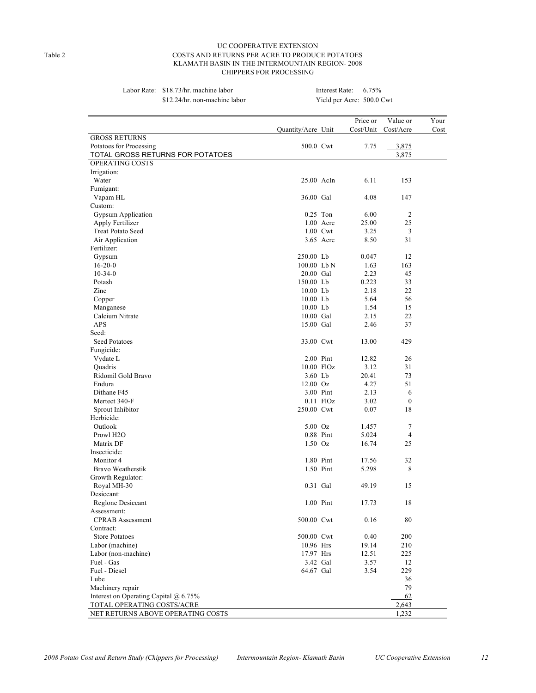#### UC COOPERATIVE EXTENSION Table 2 COSTS AND RETURNS PER ACRE TO PRODUCE POTATOES KLAMATH BASIN IN THE INTERMOUNTAIN REGION- 2008 CHIPPERS FOR PROCESSING

| Labor Rate: \$18.73/hr. machine labor |
|---------------------------------------|
| \$12.24/hr non-machine labo           |

#### Interest Rate:  $6.75%$ \$12.24/hr. non-machine labor Yield per Acre: 500.0 Cwt

|                                       |                    |             | Price or  | Value or         | Your |
|---------------------------------------|--------------------|-------------|-----------|------------------|------|
|                                       | Quantity/Acre Unit |             | Cost/Unit | Cost/Acre        | Cost |
| <b>GROSS RETURNS</b>                  |                    |             |           |                  |      |
| Potatoes for Processing               | 500.0 Cwt          |             | 7.75      | 3,875            |      |
| TOTAL GROSS RETURNS FOR POTATOES      |                    |             |           | 3,875            |      |
| OPERATING COSTS                       |                    |             |           |                  |      |
| Irrigation:                           |                    |             |           |                  |      |
| Water                                 | 25.00 AcIn         |             | 6.11      | 153              |      |
| Fumigant:                             |                    |             |           |                  |      |
| Vapam HL                              | 36.00 Gal          |             | 4.08      | 147              |      |
| Custom:                               |                    |             |           |                  |      |
| <b>Gypsum Application</b>             | $0.25$ Ton         |             | 6.00      | $\overline{2}$   |      |
| Apply Fertilizer                      |                    | $1.00$ Acre | 25.00     | 25               |      |
| <b>Treat Potato Seed</b>              |                    | 1.00 Cwt    | 3.25      | 3                |      |
| Air Application                       |                    | 3.65 Acre   | 8.50      | 31               |      |
| Fertilizer:                           |                    |             |           |                  |      |
| Gypsum                                | 250.00 Lb          |             | 0.047     | 12               |      |
| $16 - 20 - 0$                         | 100.00 Lb N        |             | 1.63      | 163              |      |
| $10-34-0$                             | 20.00 Gal          |             | 2.23      | 45               |      |
| Potash                                | 150.00 Lb          |             | 0.223     | 33               |      |
| Zinc                                  | $10.00$ Lb         |             | 2.18      | 22               |      |
| Copper                                | $10.00$ Lb         |             | 5.64      | 56               |      |
| Manganese                             | 10.00 Lb           |             | 1.54      | 15               |      |
| Calcium Nitrate                       | 10.00 Gal          |             | 2.15      | 22               |      |
| <b>APS</b>                            | 15.00 Gal          |             | 2.46      | 37               |      |
| Seed:                                 |                    |             |           |                  |      |
| Seed Potatoes                         | 33.00 Cwt          |             | 13.00     | 429              |      |
| Fungicide:                            |                    |             |           |                  |      |
| Vydate L                              | 2.00 Pint          |             | 12.82     | 26               |      |
| Ouadris                               |                    | 10.00 FlOz  | 3.12      | 31               |      |
| Ridomil Gold Bravo                    | 3.60 Lb            |             | 20.41     | 73               |      |
| Endura                                | $12.00 \text{ Oz}$ |             | 4.27      | 51               |      |
| Dithane F45                           |                    | 3.00 Pint   | 2.13      | 6                |      |
| Mertect 340-F                         |                    | $0.11$ FlOz | 3.02      | $\boldsymbol{0}$ |      |
| Sprout Inhibitor                      | 250.00 Cwt         |             | 0.07      | 18               |      |
| Herbicide:                            |                    |             |           |                  |      |
| Outlook                               | $5.00\text{ Oz}$   |             | 1.457     | 7                |      |
| Prowl H <sub>2</sub> O                | 0.88 Pint          |             | 5.024     | $\overline{4}$   |      |
| Matrix DF                             | $1.50$ Oz          |             | 16.74     | 25               |      |
| Insecticide:                          |                    |             |           |                  |      |
| Monitor 4                             |                    | 1.80 Pint   | 17.56     | 32               |      |
| Bravo Weatherstik                     |                    | 1.50 Pint   | 5.298     | 8                |      |
| Growth Regulator:                     |                    |             |           |                  |      |
| Royal MH-30                           | 0.31 Gal           |             | 49.19     | 15               |      |
| Desiccant:                            |                    |             |           |                  |      |
| Reglone Desiccant                     |                    | 1.00 Pint   | 17.73     | 18               |      |
| Assessment:                           |                    |             |           |                  |      |
| <b>CPRAB</b> Assessment               | 500.00 Cwt         |             | 0.16      | 80               |      |
| Contract:                             |                    |             |           |                  |      |
| <b>Store Potatoes</b>                 | 500.00 Cwt         |             | 0.40      | 200              |      |
| Labor (machine)                       | 10.96 Hrs          |             | 19.14     | 210              |      |
| Labor (non-machine)                   | 17.97 Hrs          |             | 12.51     | 225              |      |
| Fuel - Gas                            | 3.42 Gal           |             | 3.57      | 12               |      |
| Fuel - Diesel                         | 64.67 Gal          |             | 3.54      | 229              |      |
| Lube                                  |                    |             |           | 36               |      |
| Machinery repair                      |                    |             |           | 79               |      |
| Interest on Operating Capital @ 6.75% |                    |             |           | 62               |      |
| TOTAL OPERATING COSTS/ACRE            |                    |             |           | 2,643            |      |
| NET RETURNS ABOVE OPERATING COSTS     |                    |             |           | 1,232            |      |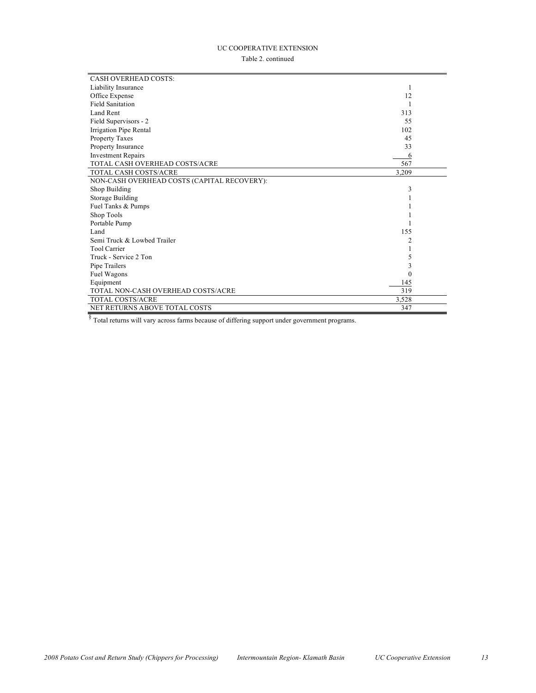## UC COOPERATIVE EXTENSION

Table 2. continued

| <b>CASH OVERHEAD COSTS:</b>                 |        |  |
|---------------------------------------------|--------|--|
| Liability Insurance                         | 1      |  |
| Office Expense                              | 12     |  |
| <b>Field Sanitation</b>                     |        |  |
| Land Rent                                   | 313    |  |
| Field Supervisors - 2                       | 55     |  |
| Irrigation Pipe Rental                      | 102    |  |
| <b>Property Taxes</b>                       | 45     |  |
| Property Insurance                          | 33     |  |
| <b>Investment Repairs</b>                   | 6      |  |
| TOTAL CASH OVERHEAD COSTS/ACRE              | 567    |  |
| TOTAL CASH COSTS/ACRE                       | 3,209  |  |
| NON-CASH OVERHEAD COSTS (CAPITAL RECOVERY): |        |  |
| Shop Building                               | 3      |  |
| Storage Building                            |        |  |
| Fuel Tanks & Pumps                          |        |  |
| Shop Tools                                  |        |  |
| Portable Pump                               |        |  |
| Land                                        | 155    |  |
| Semi Truck & Lowbed Trailer                 | 2      |  |
| <b>Tool Carrier</b>                         |        |  |
| Truck - Service 2 Ton                       | 5      |  |
| Pipe Trailers                               | 3      |  |
| Fuel Wagons                                 | $^{0}$ |  |
| Equipment                                   | 145    |  |
| TOTAL NON-CASH OVERHEAD COSTS/ACRE          | 319    |  |
| TOTAL COSTS/ACRE                            | 3,528  |  |
| <b>NET RETURNS ABOVE TOTAL COSTS</b>        | 347    |  |

 $\frac{8}{3}$  Total returns will vary across farms because of differing support under government programs.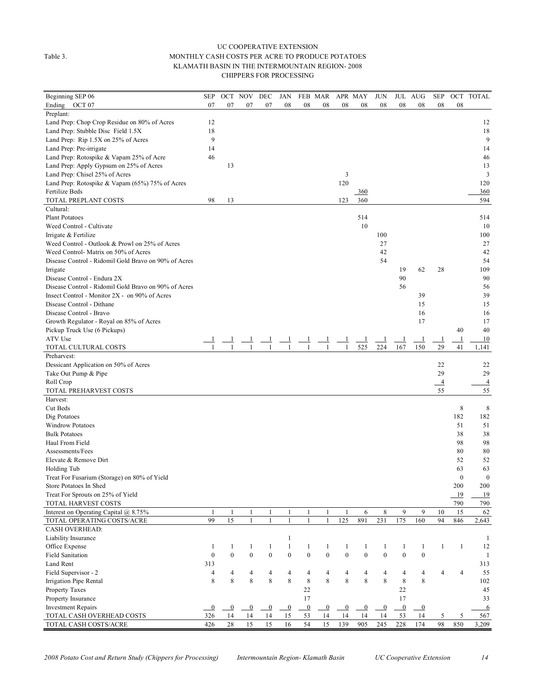#### UC COOPERATIVE EXTENSION Table 3. MONTHLY CASH COSTS PER ACRE TO PRODUCE POTATOES KLAMATH BASIN IN THE INTERMOUNTAIN REGION- 2008 CHIPPERS FOR PROCESSING

| Beginning SEP 06                                     | <b>SEP</b>       | OCT NOV        |                | DEC            | JAN            |                | FEB MAR        |                | APR MAY      | <b>JUN</b>       |                | JUL AUG          | <b>SEP</b>           | OCT            | <b>TOTAL</b>     |
|------------------------------------------------------|------------------|----------------|----------------|----------------|----------------|----------------|----------------|----------------|--------------|------------------|----------------|------------------|----------------------|----------------|------------------|
| Ending OCT 07                                        | 07               | 07             | 07             | 07             | 08             | 08             | 08             | 08             | 08           | 08               | 08             | 08               | 08                   | 08             |                  |
| Preplant:                                            |                  |                |                |                |                |                |                |                |              |                  |                |                  |                      |                |                  |
| Land Prep: Chop Crop Residue on 80% of Acres         | 12               |                |                |                |                |                |                |                |              |                  |                |                  |                      |                | 12               |
| Land Prep: Stubble Disc Field 1.5X                   | 18               |                |                |                |                |                |                |                |              |                  |                |                  |                      |                | 18               |
| Land Prep: Rip 1.5X on 25% of Acres                  | 9                |                |                |                |                |                |                |                |              |                  |                |                  |                      |                | 9                |
| Land Prep: Pre-irrigate                              | 14               |                |                |                |                |                |                |                |              |                  |                |                  |                      |                | 14               |
| Land Prep: Rotospike & Vapam 25% of Acre             | 46               |                |                |                |                |                |                |                |              |                  |                |                  |                      |                | 46               |
| Land Prep: Apply Gypsum on 25% of Acres              |                  | 13             |                |                |                |                |                |                |              |                  |                |                  |                      |                | 13               |
| Land Prep: Chisel 25% of Acres                       |                  |                |                |                |                |                |                | 3              |              |                  |                |                  |                      |                | 3                |
| Land Prep: Rotospike & Vapam (65%) 75% of Acres      |                  |                |                |                |                |                |                | 120            |              |                  |                |                  |                      |                | 120              |
| <b>Fertilize Beds</b>                                |                  |                |                |                |                |                |                |                | $-360$       |                  |                |                  |                      |                | 360              |
| TOTAL PREPLANT COSTS                                 | 98               | 13             |                |                |                |                |                | 123            | 360          |                  |                |                  |                      |                | 594              |
| Cultural:                                            |                  |                |                |                |                |                |                |                |              |                  |                |                  |                      |                |                  |
| <b>Plant Potatoes</b>                                |                  |                |                |                |                |                |                |                | 514          |                  |                |                  |                      |                | 514              |
| Weed Control - Cultivate                             |                  |                |                |                |                |                |                |                | 10           |                  |                |                  |                      |                | 10               |
| Irrigate & Fertilize                                 |                  |                |                |                |                |                |                |                |              | 100              |                |                  |                      |                | 100              |
| Weed Control - Outlook & Prowl on 25% of Acres       |                  |                |                |                |                |                |                |                |              | 27               |                |                  |                      |                | 27               |
| Weed Control-Matrix on 50% of Acres                  |                  |                |                |                |                |                |                |                |              | 42               |                |                  |                      |                | 42               |
| Disease Control - Ridomil Gold Bravo on 90% of Acres |                  |                |                |                |                |                |                |                |              | 54               |                |                  |                      |                | 54               |
| Irrigate                                             |                  |                |                |                |                |                |                |                |              |                  | 19             | 62               | 28                   |                | 109              |
| Disease Control - Endura 2X                          |                  |                |                |                |                |                |                |                |              |                  | 90             |                  |                      |                | 90               |
| Disease Control - Ridomil Gold Bravo on 90% of Acres |                  |                |                |                |                |                |                |                |              |                  | 56             |                  |                      |                | 56               |
| Insect Control - Monitor 2X - on 90% of Acres        |                  |                |                |                |                |                |                |                |              |                  |                | 39               |                      |                | 39               |
| Disease Control - Dithane                            |                  |                |                |                |                |                |                |                |              |                  |                | 15               |                      |                | 15               |
| Disease Control - Bravo                              |                  |                |                |                |                |                |                |                |              |                  |                | 16               |                      |                | 16               |
| Growth Regulator - Royal on 85% of Acres             |                  |                |                |                |                |                |                |                |              |                  |                | 17               |                      |                | 17               |
| Pickup Truck Use (6 Pickups)                         |                  |                |                |                |                |                |                |                |              |                  |                |                  |                      | 40             | 40               |
| ATV Use                                              |                  |                |                |                |                |                |                |                |              |                  |                | $\perp$          |                      | $\mathbf{1}$   | 10               |
| TOTAL CULTURAL COSTS                                 |                  |                |                |                | 1              | 1              |                | 1              | 525          | 224              | 167            | 150              | $\perp$<br>29        | 41             | 1,141            |
| Preharvest:                                          |                  |                |                |                |                |                |                |                |              |                  |                |                  |                      |                |                  |
| Dessicant Application on 50% of Acres                |                  |                |                |                |                |                |                |                |              |                  |                |                  | 22                   |                | 22               |
|                                                      |                  |                |                |                |                |                |                |                |              |                  |                |                  | 29                   |                | 29               |
| Take Out Pump & Pipe                                 |                  |                |                |                |                |                |                |                |              |                  |                |                  |                      |                | $\overline{4}$   |
| Roll Crop                                            |                  |                |                |                |                |                |                |                |              |                  |                |                  | $\overline{4}$<br>55 |                |                  |
| TOTAL PREHARVEST COSTS<br>Harvest:                   |                  |                |                |                |                |                |                |                |              |                  |                |                  |                      |                | 55               |
| Cut Beds                                             |                  |                |                |                |                |                |                |                |              |                  |                |                  |                      |                |                  |
|                                                      |                  |                |                |                |                |                |                |                |              |                  |                |                  |                      | 8<br>182       | 8                |
| Dig Potatoes                                         |                  |                |                |                |                |                |                |                |              |                  |                |                  |                      |                | 182              |
| <b>Windrow Potatoes</b>                              |                  |                |                |                |                |                |                |                |              |                  |                |                  |                      | 51             | 51               |
| <b>Bulk Potatoes</b>                                 |                  |                |                |                |                |                |                |                |              |                  |                |                  |                      | 38             | 38               |
| Haul From Field                                      |                  |                |                |                |                |                |                |                |              |                  |                |                  |                      | 98             | 98               |
| Assessments/Fees                                     |                  |                |                |                |                |                |                |                |              |                  |                |                  |                      | 80             | 80               |
| Elevate & Remove Dirt                                |                  |                |                |                |                |                |                |                |              |                  |                |                  |                      | 52             | 52               |
| Holding Tub                                          |                  |                |                |                |                |                |                |                |              |                  |                |                  |                      | 63             | 63               |
| Treat For Fusarium (Storage) on 80% of Yield         |                  |                |                |                |                |                |                |                |              |                  |                |                  |                      | $\mathbf{0}$   | $\boldsymbol{0}$ |
| Store Potatoes In Shed                               |                  |                |                |                |                |                |                |                |              |                  |                |                  |                      | 200            | 200              |
| Treat For Sprouts on 25% of Yield                    |                  |                |                |                |                |                |                |                |              |                  |                |                  |                      | 19             | 19               |
| TOTAL HARVEST COSTS                                  |                  |                |                |                |                |                |                |                |              |                  |                |                  |                      | 790            | 790              |
| Interest on Operating Capital @ 8.75%                | 1                | $\mathbf{1}$   | $\mathbf{1}$   | $\mathbf{1}$   | 1              | $\mathbf{1}$   | $\mathbf{1}$   | $\mathbf{1}$   | 6            | 8                | 9              | 9                | 10                   | 15             | 62               |
| TOTAL OPERATING COSTS/ACRE                           | 99               | 15             | $\mathbf{1}$   | $\mathbf{1}$   | $\mathbf{1}$   | $\mathbf{1}$   | $\mathbf{1}$   | 125            | 891          | 231              | 175            | 160              | 94                   | 846            | 2,643            |
| <b>CASH OVERHEAD:</b>                                |                  |                |                |                |                |                |                |                |              |                  |                |                  |                      |                |                  |
| Liability Insurance                                  |                  |                |                |                | $\mathbf{1}$   |                |                |                |              |                  |                |                  |                      |                | 1                |
| Office Expense                                       | $\mathbf{1}$     | 1              | $\mathbf{1}$   | $\mathbf{1}$   | $\mathbf{1}$   | $\mathbf{1}$   | $\mathbf{1}$   | $\mathbf{1}$   | 1            | 1                | $\mathbf{1}$   | $\mathbf{1}$     | $\mathbf{1}$         | $\mathbf{1}$   | 12               |
| <b>Field Sanitation</b>                              | $\boldsymbol{0}$ | $\overline{0}$ | $\mathbf{0}$   | $\mathbf{0}$   | $\mathbf{0}$   | $\mathbf{0}$   | $\overline{0}$ | $\mathbf{0}$   | $\mathbf{0}$ | $\boldsymbol{0}$ | $\mathbf{0}$   | $\mathbf{0}$     |                      |                | 1                |
| Land Rent                                            | 313              |                |                |                |                |                |                |                |              |                  |                |                  |                      |                | 313              |
| Field Supervisor - 2                                 | $\overline{4}$   | 4              | 4              | 4              | $\overline{4}$ | $\overline{4}$ | 4              | $\overline{4}$ | 4            | $\overline{4}$   | $\overline{4}$ | 4                | $\overline{4}$       | $\overline{4}$ | 55               |
| Irrigation Pipe Rental                               | 8                | 8              | 8              | 8              | 8              | $\,$ $\,$      | 8              | 8              | 8            | 8                | $\,$ 8 $\,$    | 8                |                      |                | 102              |
| Property Taxes                                       |                  |                |                |                |                | 22             |                |                |              |                  | 22             |                  |                      |                | 45               |
| Property Insurance                                   |                  |                |                |                |                | 17             |                |                |              |                  | 17             |                  |                      |                | 33               |
| <b>Investment Repairs</b>                            | $\overline{0}$   | $\bf{0}$       | $\overline{0}$ | $\overline{0}$ | $\overline{0}$ | $\overline{0}$ | $\bf{0}$       | $\overline{0}$ | $\bf{0}$     | $\bf{0}$         | $\overline{0}$ | $\boldsymbol{0}$ |                      |                | 6                |
| TOTAL CASH OVERHEAD COSTS                            | 326              | 14             | 14             | 14             | 15             | 53             | 14             | 14             | 14           | 14               | 53             | 14               | 5                    | 5              | 567              |
| TOTAL CASH COSTS/ACRE                                | 426              | 28             | 15             | 15             | 16             | 54             | 15             | 139            | 905          | 245              | 228            | 174              | 98                   | 850            | 3,209            |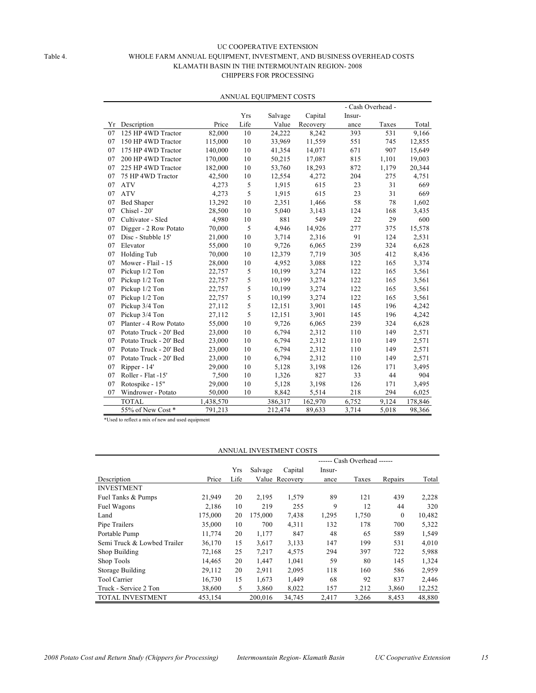#### UC COOPERATIVE EXTENSION Table 4. WHOLE FARM ANNUAL EQUIPMENT, INVESTMENT, AND BUSINESS OVERHEAD COSTS KLAMATH BASIN IN THE INTERMOUNTAIN REGION- 2008 CHIPPERS FOR PROCESSING

|    |                        |           |      |         |          |        | - Cash Overhead - |         |
|----|------------------------|-----------|------|---------|----------|--------|-------------------|---------|
|    |                        |           | Yrs  | Salvage | Capital  | Insur- |                   |         |
| Υr | Description            | Price     | Life | Value   | Recovery | ance   | Taxes             | Total   |
| 07 | 125 HP 4WD Tractor     | 82,000    | 10   | 24,222  | 8,242    | 393    | 531               | 9,166   |
| 07 | 150 HP 4WD Tractor     | 115,000   | 10   | 33,969  | 11,559   | 551    | 745               | 12,855  |
| 07 | 175 HP 4WD Tractor     | 140,000   | 10   | 41,354  | 14,071   | 671    | 907               | 15,649  |
| 07 | 200 HP 4WD Tractor     | 170,000   | 10   | 50,215  | 17,087   | 815    | 1,101             | 19,003  |
| 07 | 225 HP 4WD Tractor     | 182,000   | 10   | 53,760  | 18,293   | 872    | 1,179             | 20,344  |
| 07 | 75 HP 4WD Tractor      | 42,500    | 10   | 12,554  | 4,272    | 204    | 275               | 4,751   |
| 07 | <b>ATV</b>             | 4,273     | 5    | 1,915   | 615      | 23     | 31                | 669     |
| 07 | <b>ATV</b>             | 4,273     | 5    | 1,915   | 615      | 23     | 31                | 669     |
| 07 | <b>Bed Shaper</b>      | 13,292    | 10   | 2,351   | 1,466    | 58     | 78                | 1,602   |
| 07 | Chisel - 20'           | 28,500    | 10   | 5,040   | 3,143    | 124    | 168               | 3,435   |
| 07 | Cultivator - Sled      | 4,980     | 10   | 881     | 549      | 22     | 29                | 600     |
| 07 | Digger - 2 Row Potato  | 70,000    | 5    | 4,946   | 14,926   | 277    | 375               | 15,578  |
| 07 | Disc - Stubble 15'     | 21,000    | 10   | 3,714   | 2,316    | 91     | 124               | 2,531   |
| 07 | Elevator               | 55,000    | 10   | 9,726   | 6,065    | 239    | 324               | 6,628   |
| 07 | Holding Tub            | 70,000    | 10   | 12,379  | 7,719    | 305    | 412               | 8,436   |
| 07 | Mower - Flail - 15     | 28,000    | 10   | 4,952   | 3,088    | 122    | 165               | 3,374   |
| 07 | Pickup 1/2 Ton         | 22,757    | 5    | 10,199  | 3,274    | 122    | 165               | 3,561   |
| 07 | Pickup 1/2 Ton         | 22,757    | 5    | 10,199  | 3,274    | 122    | 165               | 3,561   |
| 07 | Pickup 1/2 Ton         | 22,757    | 5    | 10,199  | 3,274    | 122    | 165               | 3,561   |
| 07 | Pickup 1/2 Ton         | 22,757    | 5    | 10,199  | 3,274    | 122    | 165               | 3,561   |
| 07 | Pickup 3/4 Ton         | 27,112    | 5    | 12,151  | 3,901    | 145    | 196               | 4,242   |
| 07 | Pickup 3/4 Ton         | 27,112    | 5    | 12,151  | 3,901    | 145    | 196               | 4,242   |
| 07 | Planter - 4 Row Potato | 55,000    | 10   | 9,726   | 6,065    | 239    | 324               | 6,628   |
| 07 | Potato Truck - 20' Bed | 23,000    | 10   | 6,794   | 2,312    | 110    | 149               | 2,571   |
| 07 | Potato Truck - 20' Bed | 23,000    | 10   | 6,794   | 2,312    | 110    | 149               | 2,571   |
| 07 | Potato Truck - 20' Bed | 23,000    | 10   | 6,794   | 2,312    | 110    | 149               | 2,571   |
| 07 | Potato Truck - 20' Bed | 23,000    | 10   | 6,794   | 2,312    | 110    | 149               | 2,571   |
| 07 | Ripper - 14'           | 29,000    | 10   | 5,128   | 3,198    | 126    | 171               | 3,495   |
| 07 | Roller - Flat -15'     | 7,500     | 10   | 1,326   | 827      | 33     | 44                | 904     |
| 07 | Rotospike - 15"        | 29,000    | 10   | 5,128   | 3,198    | 126    | 171               | 3,495   |
| 07 | Windrower - Potato     | 50,000    | 10   | 8,842   | 5,514    | 218    | 294               | 6,025   |
|    | <b>TOTAL</b>           | 1,438,570 |      | 386,317 | 162,970  | 6,752  | 9.124             | 178,846 |
|    | 55% of New Cost *      | 791,213   |      | 212,474 | 89,633   | 3,714  | 5,018             | 98,366  |

#### ANNUAL EQUIPMENT COSTS

\*Used to reflect a mix of new and used equipment

| ANNUAL INVESTMENT COSTS     |         |                             |         |                |        |       |              |        |  |  |
|-----------------------------|---------|-----------------------------|---------|----------------|--------|-------|--------------|--------|--|--|
|                             |         | ------ Cash Overhead ------ |         |                |        |       |              |        |  |  |
|                             |         | Yrs                         | Salvage | Capital        | Insur- |       |              |        |  |  |
| Description                 | Price   | Life                        |         | Value Recovery | ance   | Taxes | Repairs      | Total  |  |  |
| <b>INVESTMENT</b>           |         |                             |         |                |        |       |              |        |  |  |
| Fuel Tanks & Pumps          | 21,949  | 20                          | 2,195   | 1,579          | 89     | 121   | 439          | 2,228  |  |  |
| Fuel Wagons                 | 2,186   | 10                          | 219     | 255            | 9      | 12    | 44           | 320    |  |  |
| Land                        | 175,000 | 20                          | 175,000 | 7,438          | 1,295  | 1,750 | $\mathbf{0}$ | 10,482 |  |  |
| Pipe Trailers               | 35,000  | 10                          | 700     | 4,311          | 132    | 178   | 700          | 5,322  |  |  |
| Portable Pump               | 11,774  | 20                          | 1,177   | 847            | 48     | 65    | 589          | 1,549  |  |  |
| Semi Truck & Lowbed Trailer | 36,170  | 15                          | 3,617   | 3,133          | 147    | 199   | 531          | 4,010  |  |  |
| Shop Building               | 72,168  | 25                          | 7,217   | 4,575          | 294    | 397   | 722          | 5,988  |  |  |
| Shop Tools                  | 14,465  | 20                          | 1,447   | 1,041          | 59     | 80    | 145          | 1,324  |  |  |
| Storage Building            | 29,112  | 20                          | 2,911   | 2,095          | 118    | 160   | 586          | 2,959  |  |  |
| <b>Tool Carrier</b>         | 16,730  | 15                          | 1,673   | 1,449          | 68     | 92    | 837          | 2,446  |  |  |
| Truck - Service 2 Ton       | 38,600  | 5                           | 3,860   | 8,022          | 157    | 212   | 3,860        | 12,252 |  |  |
| <b>TOTAL INVESTMENT</b>     | 453,154 |                             | 200.016 | 34,745         | 2,417  | 3,266 | 8,453        | 48,880 |  |  |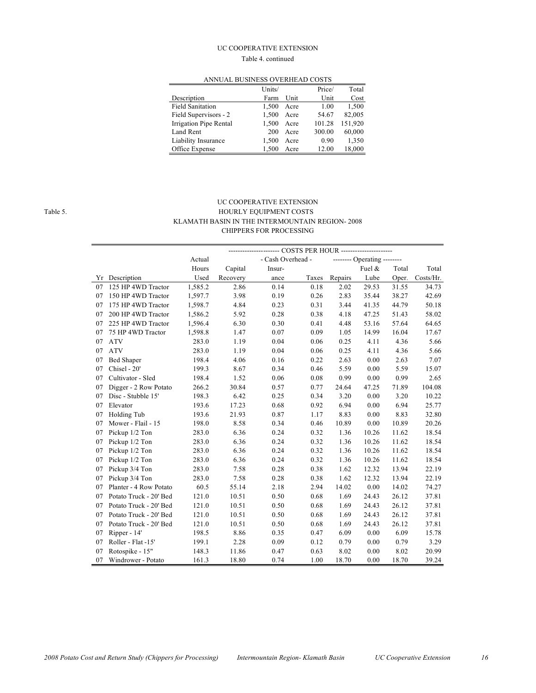#### UC COOPERATIVE EXTENSION

#### Table 4. continued

|                         | Units/ |      | Price/ | Total   |  |  |  |  |  |  |  |
|-------------------------|--------|------|--------|---------|--|--|--|--|--|--|--|
| Description             | Farm   | Unit | Unit   | Cost    |  |  |  |  |  |  |  |
| <b>Field Sanitation</b> | 1.500  | Acre | 1.00   | 1,500   |  |  |  |  |  |  |  |
| Field Supervisors - 2   | 1,500  | Acre | 54.67  | 82,005  |  |  |  |  |  |  |  |
| Irrigation Pipe Rental  | 1.500  | Acre | 101.28 | 151.920 |  |  |  |  |  |  |  |
| Land Rent               | 200    | Acre | 300.00 | 60,000  |  |  |  |  |  |  |  |
| Liability Insurance     | 1.500  | Acre | 0.90   | 1,350   |  |  |  |  |  |  |  |
| Office Expense          | 1.500  | Acre | 12.00  | 18,000  |  |  |  |  |  |  |  |

#### ANNUAL BUSINESS OVERHEAD COSTS

#### UC COOPERATIVE EXTENSION Table 5. HOURLY EQUIPMENT COSTS KLAMATH BASIN IN THE INTERMOUNTAIN REGION- 2008 CHIPPERS FOR PROCESSING

|    |                        |         |          |                   | -- COSTS PER HOUR --------------------- |         |                             |       |           |
|----|------------------------|---------|----------|-------------------|-----------------------------------------|---------|-----------------------------|-------|-----------|
|    |                        | Actual  |          | - Cash Overhead - |                                         |         | -------- Operating -------- |       |           |
|    |                        | Hours   | Capital  | Insur-            |                                         |         | Fuel &                      | Total | Total     |
| Υr | Description            | Used    | Recovery | ance              | Taxes                                   | Repairs | Lube                        | Oper. | Costs/Hr. |
| 07 | 125 HP 4WD Tractor     | 1,585.2 | 2.86     | 0.14              | 0.18                                    | 2.02    | 29.53                       | 31.55 | 34.73     |
| 07 | 150 HP 4WD Tractor     | 1,597.7 | 3.98     | 0.19              | 0.26                                    | 2.83    | 35.44                       | 38.27 | 42.69     |
| 07 | 175 HP 4WD Tractor     | 1,598.7 | 4.84     | 0.23              | 0.31                                    | 3.44    | 41.35                       | 44.79 | 50.18     |
| 07 | 200 HP 4WD Tractor     | 1,586.2 | 5.92     | 0.28              | 0.38                                    | 4.18    | 47.25                       | 51.43 | 58.02     |
| 07 | 225 HP 4WD Tractor     | 1,596.4 | 6.30     | 0.30              | 0.41                                    | 4.48    | 53.16                       | 57.64 | 64.65     |
| 07 | 75 HP 4WD Tractor      | 1,598.8 | 1.47     | 0.07              | 0.09                                    | 1.05    | 14.99                       | 16.04 | 17.67     |
| 07 | <b>ATV</b>             | 283.0   | 1.19     | 0.04              | 0.06                                    | 0.25    | 4.11                        | 4.36  | 5.66      |
| 07 | <b>ATV</b>             | 283.0   | 1.19     | 0.04              | 0.06                                    | 0.25    | 4.11                        | 4.36  | 5.66      |
| 07 | <b>Bed Shaper</b>      | 198.4   | 4.06     | 0.16              | 0.22                                    | 2.63    | 0.00                        | 2.63  | 7.07      |
| 07 | Chisel - 20'           | 199.3   | 8.67     | 0.34              | 0.46                                    | 5.59    | 0.00                        | 5.59  | 15.07     |
| 07 | Cultivator - Sled      | 198.4   | 1.52     | 0.06              | 0.08                                    | 0.99    | 0.00                        | 0.99  | 2.65      |
| 07 | Digger - 2 Row Potato  | 266.2   | 30.84    | 0.57              | 0.77                                    | 24.64   | 47.25                       | 71.89 | 104.08    |
| 07 | Disc - Stubble 15'     | 198.3   | 6.42     | 0.25              | 0.34                                    | 3.20    | 0.00                        | 3.20  | 10.22     |
| 07 | Elevator               | 193.6   | 17.23    | 0.68              | 0.92                                    | 6.94    | 0.00                        | 6.94  | 25.77     |
| 07 | Holding Tub            | 193.6   | 21.93    | 0.87              | 1.17                                    | 8.83    | 0.00                        | 8.83  | 32.80     |
| 07 | Mower - Flail - 15     | 198.0   | 8.58     | 0.34              | 0.46                                    | 10.89   | 0.00                        | 10.89 | 20.26     |
| 07 | Pickup 1/2 Ton         | 283.0   | 6.36     | 0.24              | 0.32                                    | 1.36    | 10.26                       | 11.62 | 18.54     |
| 07 | Pickup 1/2 Ton         | 283.0   | 6.36     | 0.24              | 0.32                                    | 1.36    | 10.26                       | 11.62 | 18.54     |
| 07 | Pickup 1/2 Ton         | 283.0   | 6.36     | 0.24              | 0.32                                    | 1.36    | 10.26                       | 11.62 | 18.54     |
| 07 | Pickup 1/2 Ton         | 283.0   | 6.36     | 0.24              | 0.32                                    | 1.36    | 10.26                       | 11.62 | 18.54     |
| 07 | Pickup 3/4 Ton         | 283.0   | 7.58     | 0.28              | 0.38                                    | 1.62    | 12.32                       | 13.94 | 22.19     |
| 07 | Pickup 3/4 Ton         | 283.0   | 7.58     | 0.28              | 0.38                                    | 1.62    | 12.32                       | 13.94 | 22.19     |
| 07 | Planter - 4 Row Potato | 60.5    | 55.14    | 2.18              | 2.94                                    | 14.02   | 0.00                        | 14.02 | 74.27     |
| 07 | Potato Truck - 20' Bed | 121.0   | 10.51    | 0.50              | 0.68                                    | 1.69    | 24.43                       | 26.12 | 37.81     |
| 07 | Potato Truck - 20' Bed | 121.0   | 10.51    | 0.50              | 0.68                                    | 1.69    | 24.43                       | 26.12 | 37.81     |
| 07 | Potato Truck - 20' Bed | 121.0   | 10.51    | 0.50              | 0.68                                    | 1.69    | 24.43                       | 26.12 | 37.81     |
| 07 | Potato Truck - 20' Bed | 121.0   | 10.51    | 0.50              | 0.68                                    | 1.69    | 24.43                       | 26.12 | 37.81     |
| 07 | Ripper - 14'           | 198.5   | 8.86     | 0.35              | 0.47                                    | 6.09    | 0.00                        | 6.09  | 15.78     |
| 07 | Roller - Flat -15'     | 199.1   | 2.28     | 0.09              | 0.12                                    | 0.79    | 0.00                        | 0.79  | 3.29      |
| 07 | Rotospike - 15"        | 148.3   | 11.86    | 0.47              | 0.63                                    | 8.02    | 0.00                        | 8.02  | 20.99     |
| 07 | Windrower - Potato     | 161.3   | 18.80    | 0.74              | 1.00                                    | 18.70   | 0.00                        | 18.70 | 39.24     |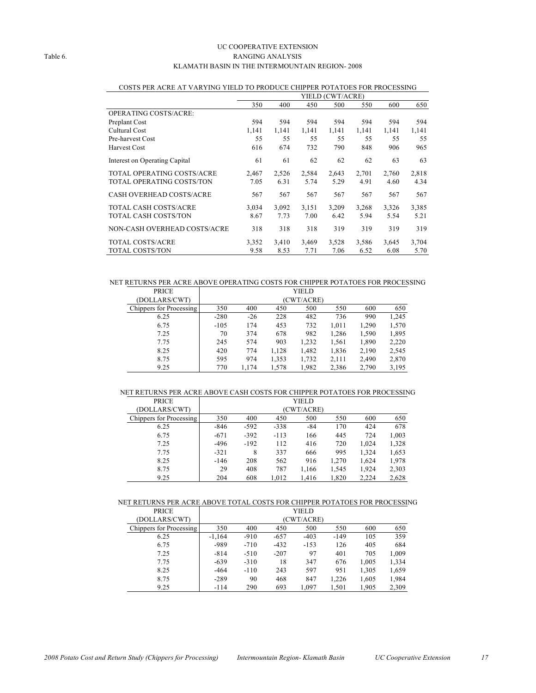#### UC COOPERATIVE EXTENSION Table 6. RANGING ANALYSIS KLAMATH BASIN IN THE INTERMOUNTAIN REGION- 2008

|                                 | YIELD (CWT/ACRE) |       |       |       |       |       |       |
|---------------------------------|------------------|-------|-------|-------|-------|-------|-------|
|                                 | 350              | 400   | 450   | 500   | 550   | 600   | 650   |
| OPERATING COSTS/ACRE:           |                  |       |       |       |       |       |       |
| Preplant Cost                   | 594              | 594   | 594   | 594   | 594   | 594   | 594   |
| Cultural Cost                   | 1,141            | 1,141 | 1,141 | 1,141 | 1,141 | 1,141 | 1,141 |
| Pre-harvest Cost                | 55               | 55    | 55    | 55    | 55    | 55    | 55    |
| <b>Harvest Cost</b>             | 616              | 674   | 732   | 790   | 848   | 906   | 965   |
| Interest on Operating Capital   | 61               | 61    | 62    | 62    | 62    | 63    | 63    |
| TOTAL OPERATING COSTS/ACRE      | 2,467            | 2,526 | 2,584 | 2,643 | 2,701 | 2,760 | 2,818 |
| TOTAL OPERATING COSTS/TON       | 7.05             | 6.31  | 5.74  | 5.29  | 4.91  | 4.60  | 4.34  |
| <b>CASH OVERHEAD COSTS/ACRE</b> | 567              | 567   | 567   | 567   | 567   | 567   | 567   |
| TOTAL CASH COSTS/ACRE           | 3,034            | 3,092 | 3,151 | 3,209 | 3,268 | 3,326 | 3,385 |
| TOTAL CASH COSTS/TON            | 8.67             | 7.73  | 7.00  | 6.42  | 5.94  | 5.54  | 5.21  |
| NON-CASH OVERHEAD COSTS/ACRE    | 318              | 318   | 318   | 319   | 319   | 319   | 319   |
| <b>TOTAL COSTS/ACRE</b>         | 3,352            | 3,410 | 3,469 | 3,528 | 3,586 | 3,645 | 3,704 |
| <b>TOTAL COSTS/TON</b>          | 9.58             | 8.53  | 7.71  | 7.06  | 6.52  | 6.08  | 5.70  |

#### COSTS PER ACRE AT VARYING YIELD TO PRODUCE CHIPPER POTATOES FOR PROCESSING

NET RETURNS PER ACRE ABOVE OPERATING COSTS FOR CHIPPER POTATOES FOR PROCESSING

| <b>PRICE</b>            |        |       |       | YIELD      |       |       |       |
|-------------------------|--------|-------|-------|------------|-------|-------|-------|
| (DOLLARS/CWT)           |        |       |       | (CWT/ACRE) |       |       |       |
| Chippers for Processing | 350    | 400   | 450   | 500        | 550   | 600   | 650   |
| 6.25                    | $-280$ | $-26$ | 228   | 482        | 736   | 990   | 1,245 |
| 6.75                    | $-105$ | 174   | 453   | 732        | 1,011 | 1,290 | 1,570 |
| 7.25                    | 70     | 374   | 678   | 982        | 1,286 | 1,590 | 1,895 |
| 7.75                    | 245    | 574   | 903   | 1,232      | 1,561 | 1,890 | 2,220 |
| 8.25                    | 420    | 774   | 1,128 | 1,482      | 1,836 | 2,190 | 2,545 |
| 8.75                    | 595    | 974   | 1,353 | 1,732      | 2,111 | 2,490 | 2,870 |
| 9.25                    | 770    | 1,174 | 1,578 | 1,982      | 2,386 | 2,790 | 3,195 |

#### NET RETURNS PER ACRE ABOVE CASH COSTS FOR CHIPPER POTATOES FOR PROCESSING

| <b>PRICE</b>            |        | <b>YIELD</b> |        |       |       |       |       |  |  |
|-------------------------|--------|--------------|--------|-------|-------|-------|-------|--|--|
| (DOLLARS/CWT)           |        | (CWT/ACRE)   |        |       |       |       |       |  |  |
| Chippers for Processing | 350    | 400          | 450    | 500   | 550   | 600   | 650   |  |  |
| 6.25                    | -846   | $-592$       | $-338$ | $-84$ | 170   | 424   | 678   |  |  |
| 6.75                    | $-671$ | $-392$       | $-113$ | 166   | 445   | 724   | 1,003 |  |  |
| 7.25                    | -496   | $-192$       | 112    | 416   | 720   | 1,024 | 1,328 |  |  |
| 7.75                    | $-321$ | 8            | 337    | 666   | 995   | 1,324 | 1,653 |  |  |
| 8.25                    | $-146$ | 208          | 562    | 916   | 1,270 | 1,624 | 1,978 |  |  |
| 8.75                    | 29     | 408          | 787    | 1,166 | 1,545 | 1,924 | 2,303 |  |  |
| 9.25                    | 204    | 608          | 1,012  | 1,416 | 1,820 | 2,224 | 2,628 |  |  |

#### NET RETURNS PER ACRE ABOVE TOTAL COSTS FOR CHIPPER POTATOES FOR PROCESSING

| <b>PRICE</b>            |          |            |        | YIELD  |        |       |       |  |
|-------------------------|----------|------------|--------|--------|--------|-------|-------|--|
| (DOLLARS/CWT)           |          | (CWT/ACRE) |        |        |        |       |       |  |
| Chippers for Processing | 350      | 400        | 450    | 500    | 550    | 600   | 650   |  |
| 6.25                    | $-1.164$ | $-910$     | $-657$ | $-403$ | $-149$ | 105   | 359   |  |
| 6.75                    | -989     | $-710$     | $-432$ | $-153$ | 126    | 405   | 684   |  |
| 7.25                    | $-814$   | $-510$     | $-207$ | 97     | 401    | 705   | 1,009 |  |
| 7.75                    | $-639$   | $-310$     | 18     | 347    | 676    | 1,005 | 1,334 |  |
| 8.25                    | $-464$   | $-110$     | 243    | 597    | 951    | 1,305 | 1,659 |  |
| 8.75                    | $-289$   | 90         | 468    | 847    | 1,226  | 1,605 | 1,984 |  |
| 9.25                    | $-114$   | 290        | 693    | 1.097  | 1.501  | 1.905 | 2,309 |  |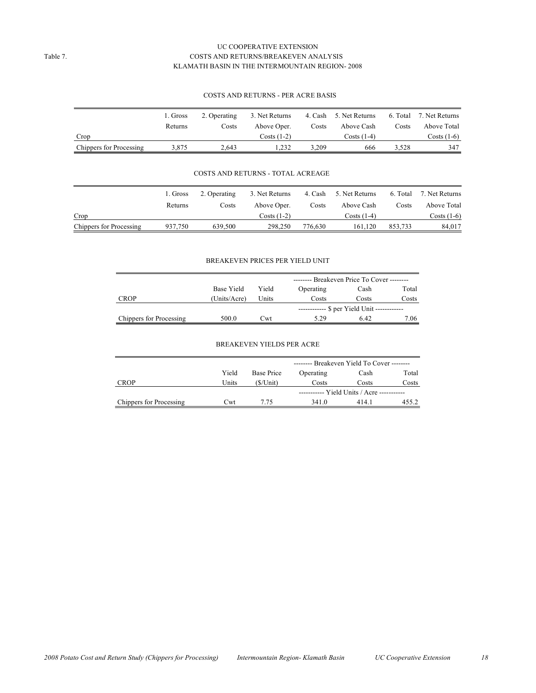#### UC COOPERATIVE EXTENSION Table 7. COSTS AND RETURNS/BREAKEVEN ANALYSIS KLAMATH BASIN IN THE INTERMOUNTAIN REGION- 2008

#### COSTS AND RETURNS - PER ACRE BASIS

|                         | 1. Gross | 2. Operating | 3. Net Returns |       | 4. Cash 5. Net Returns |       | 6. Total 7. Net Returns |
|-------------------------|----------|--------------|----------------|-------|------------------------|-------|-------------------------|
|                         | Returns  | Costs        | Above Oper.    | Costs | Above Cash             | Costs | Above Total             |
| Crop                    |          |              | $Costs(1-2)$   |       | Costs (1-4)            |       | Costs (1-6)             |
| Chippers for Processing | 3.875    | 2.643        | 1.232          | 3.209 | 666                    | 3.528 | 347                     |

#### COSTS AND RETURNS - TOTAL ACREAGE

|                         | 1. Gross | 2. Operating | 3. Net Returns       | 4. Cash | 5. Net Returns |         | 6. Total 7. Net Returns |
|-------------------------|----------|--------------|----------------------|---------|----------------|---------|-------------------------|
|                         | Returns  | Costs        | Above Oper.          | Costs   | Above Cash     | Costs   | Above Total             |
| Crop                    |          |              | $\text{Costs}$ (1-2) |         | Costs $(1-4)$  |         | Costs $(1-6)$           |
| Chippers for Processing | 937.750  | 639.500      | 298.250              | 776.630 | 161.120        | 853.733 | 84.017                  |

#### BREAKEVEN PRICES PER YIELD UNIT

|                                |              |       | -------- Breakeven Price To Cover -------- |                                            |       |  |       |
|--------------------------------|--------------|-------|--------------------------------------------|--------------------------------------------|-------|--|-------|
|                                | Base Yield   | Yield |                                            | Operating<br>Cash                          |       |  | Total |
| <b>CROP</b>                    | (Units/Acre) | Units | Costs                                      | Costs                                      | Costs |  |       |
|                                |              |       |                                            | ----------- \$ per Yield Unit ------------ |       |  |       |
| <b>Chippers</b> for Processing | 500.0        | Cwt   | 5.29                                       | 6.42                                       | 7.06  |  |       |

#### BREAKEVEN YIELDS PER ACRE

|                         |       |            | $-----$ Breakeven Yield To Cover $-----$   |      |       |  |  |
|-------------------------|-------|------------|--------------------------------------------|------|-------|--|--|
|                         | Yield | Base Price | Total<br>Operating<br>Cash                 |      |       |  |  |
| <b>CROP</b>             | Units | (\$/Unit)  | Costs<br>Costs                             |      | Costs |  |  |
|                         |       |            | ----------- Yield Units / Acre ----------- |      |       |  |  |
| Chippers for Processing | Cwt   | 7 75       | 341.0                                      | 4141 | 455.2 |  |  |